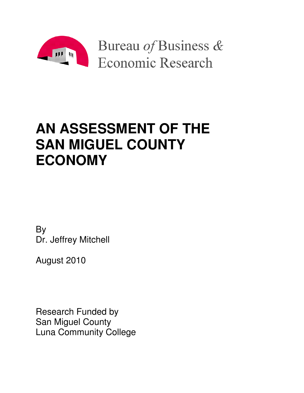

# **AN ASSESSMENT OF THE SAN MIGUEL COUNTY ECONOMY**

By Dr. Jeffrey Mitchell

August 2010

Research Funded by San Miguel County Luna Community College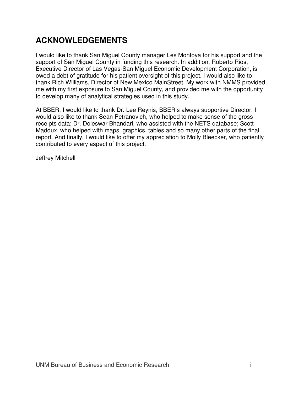## **ACKNOWLEDGEMENTS**

I would like to thank San Miguel County manager Les Montoya for his support and the support of San Miguel County in funding this research. In addition, Roberto Rios, Executive Director of Las Vegas-San Miguel Economic Development Corporation, is owed a debt of gratitude for his patient oversight of this project. I would also like to thank Rich Williams, Director of New Mexico MainStreet. My work with NMMS provided me with my first exposure to San Miguel County, and provided me with the opportunity to develop many of analytical strategies used in this study.

At BBER, I would like to thank Dr. Lee Reynis, BBER's always supportive Director. I would also like to thank Sean Petranovich, who helped to make sense of the gross receipts data; Dr. Doleswar Bhandari, who assisted with the NETS database; Scott Maddux, who helped with maps, graphics, tables and so many other parts of the final report. And finally, I would like to offer my appreciation to Molly Bleecker, who patiently contributed to every aspect of this project.

Jeffrey Mitchell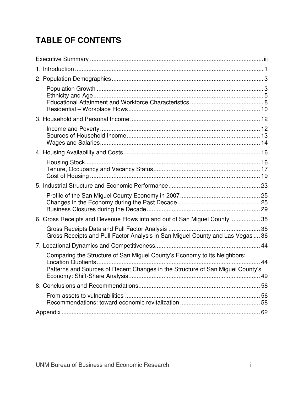## **TABLE OF CONTENTS**

| 6. Gross Receipts and Revenue Flows into and out of San Miguel County 35                                                                                                  |    |
|---------------------------------------------------------------------------------------------------------------------------------------------------------------------------|----|
| Gross Receipts and Pull Factor Analysis in San Miguel County and Las Vegas  36                                                                                            |    |
|                                                                                                                                                                           |    |
| Comparing the Structure of San Miguel County's Economy to its Neighbors:<br>$\ldots$ 44<br>Patterns and Sources of Recent Changes in the Structure of San Miguel County's | 49 |
|                                                                                                                                                                           |    |
|                                                                                                                                                                           |    |
|                                                                                                                                                                           |    |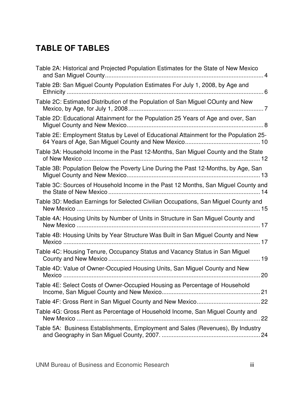## **TABLE OF TABLES**

| Table 2A: Historical and Projected Population Estimates for the State of New Mexico   |  |
|---------------------------------------------------------------------------------------|--|
| Table 2B: San Miguel County Population Estimates For July 1, 2008, by Age and         |  |
| Table 2C: Estimated Distribution of the Population of San Miguel COunty and New       |  |
| Table 2D: Educational Attainment for the Population 25 Years of Age and over, San     |  |
| Table 2E: Employment Status by Level of Educational Attainment for the Population 25- |  |
| Table 3A: Household Income in the Past 12-Months, San Miguel County and the State     |  |
| Table 3B: Population Below the Poverty Line During the Past 12-Months, by Age, San    |  |
| Table 3C: Sources of Household Income in the Past 12 Months, San Miguel County and    |  |
| Table 3D: Median Earnings for Selected Civilian Occupations, San Miguel County and    |  |
| Table 4A: Housing Units by Number of Units in Structure in San Miguel County and      |  |
| Table 4B: Housing Units by Year Structure Was Built in San Miguel County and New      |  |
| Table 4C: Housing Tenure, Occupancy Status and Vacancy Status in San Miguel           |  |
| Table 4D: Value of Owner-Occupied Housing Units, San Miguel County and New            |  |
| Table 4E: Select Costs of Owner-Occupied Housing as Percentage of Household           |  |
|                                                                                       |  |
| Table 4G: Gross Rent as Percentage of Household Income, San Miguel County and         |  |
| Table 5A: Business Establishments, Employment and Sales (Revenues), By Industry       |  |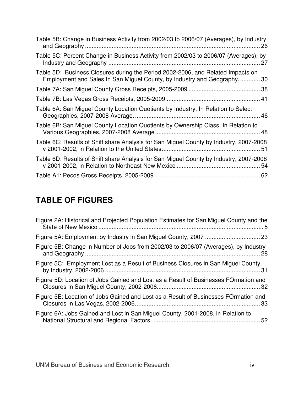| Table 5B: Change in Business Activity from 2002/03 to 2006/07 (Averages), by Industry                                                                     |
|-----------------------------------------------------------------------------------------------------------------------------------------------------------|
| Table 5C: Percent Change in Business Activity from 2002/03 to 2006/07 (Averages), by<br>27                                                                |
| Table 5D: Business Closures during the Period 2002-2006, and Related Impacts on<br>Employment and Sales In San Miguel County, by Industry and Geography30 |
|                                                                                                                                                           |
|                                                                                                                                                           |
| Table 6A: San Miguel County Location Quotients by Industry, In Relation to Select                                                                         |
| Table 6B: San Miguel County Location Quotients by Ownership Class, In Relation to                                                                         |
| Table 6C: Results of Shift share Analysis for San Miguel County by Industry, 2007-2008                                                                    |
| Table 6D: Results of Shift share Analysis for San Miguel County by Industry, 2007-2008                                                                    |
|                                                                                                                                                           |

## **TABLE OF FIGURES**

| Figure 2A: Historical and Projected Population Estimates for San Miguel County and the |    |
|----------------------------------------------------------------------------------------|----|
|                                                                                        |    |
| Figure 5B: Change in Number of Jobs from 2002/03 to 2006/07 (Averages), by Industry    |    |
| Figure 5C: Employment Lost as a Result of Business Closures in San Miguel County,      |    |
| Figure 5D: Location of Jobs Gained and Lost as a Result of Businesses FOrmation and    |    |
| Figure 5E: Location of Jobs Gained and Lost as a Result of Businesses FOrmation and    |    |
| Figure 6A: Jobs Gained and Lost in San Miguel County, 2001-2008, in Relation to        | 52 |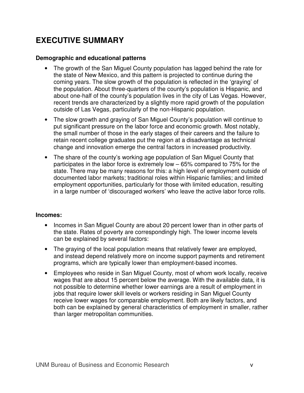## **EXECUTIVE SUMMARY**

## **Demographic and educational patterns**

- The growth of the San Miguel County population has lagged behind the rate for the state of New Mexico, and this pattern is projected to continue during the coming years. The slow growth of the population is reflected in the 'graying' of the population. About three-quarters of the county's population is Hispanic, and about one-half of the county's population lives in the city of Las Vegas. However, recent trends are characterized by a slightly more rapid growth of the population outside of Las Vegas, particularly of the non-Hispanic population.
- The slow growth and graying of San Miguel County's population will continue to put significant pressure on the labor force and economic growth. Most notably, the small number of those in the early stages of their careers and the failure to retain recent college graduates put the region at a disadvantage as technical change and innovation emerge the central factors in increased productivity.
- The share of the county's working age population of San Miguel County that participates in the labor force is extremely low – 65% compared to 75% for the state. There may be many reasons for this: a high level of employment outside of documented labor markets; traditional roles within Hispanic families; and limited employment opportunities, particularly for those with limited education, resulting in a large number of 'discouraged workers' who leave the active labor force rolls.

### **Incomes:**

- Incomes in San Miguel County are about 20 percent lower than in other parts of the state. Rates of poverty are correspondingly high. The lower income levels can be explained by several factors:
- The graying of the local population means that relatively fewer are employed, and instead depend relatively more on income support payments and retirement programs, which are typically lower than employment-based incomes.
- Employees who reside in San Miguel County, most of whom work locally, receive wages that are about 15 percent below the average. With the available data, it is not possible to determine whether lower earnings are a result of employment in jobs that require lower skill levels or workers residing in San Miguel County receive lower wages for comparable employment. Both are likely factors, and both can be explained by general characteristics of employment in smaller, rather than larger metropolitan communities.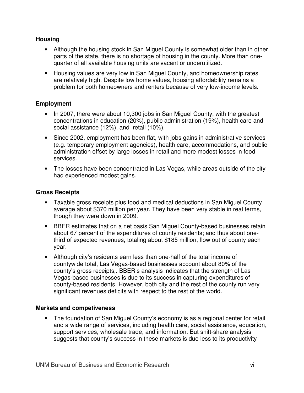## **Housing**

- Although the housing stock in San Miguel County is somewhat older than in other parts of the state, there is no shortage of housing in the county. More than onequarter of all available housing units are vacant or underutilized.
- Housing values are very low in San Miguel County, and homeownership rates are relatively high. Despite low home values, housing affordability remains a problem for both homeowners and renters because of very low-income levels.

## **Employment**

- In 2007, there were about 10,300 jobs in San Miguel County, with the greatest concentrations in education (20%), public administration (19%), health care and social assistance (12%), and retail (10%).
- Since 2002, employment has been flat, with jobs gains in administrative services (e.g. temporary employment agencies), health care, accommodations, and public administration offset by large losses in retail and more modest losses in food services.
- The losses have been concentrated in Las Vegas, while areas outside of the city had experienced modest gains.

## **Gross Receipts**

- Taxable gross receipts plus food and medical deductions in San Miguel County average about \$370 million per year. They have been very stable in real terms, though they were down in 2009.
- BBER estimates that on a net basis San Miguel County-based businesses retain about 67 percent of the expenditures of county residents; and thus about onethird of expected revenues, totaling about \$185 million, flow out of county each year.
- Although city's residents earn less than one-half of the total income of countywide total, Las Vegas-based businesses account about 80% of the county's gross receipts,. BBER's analysis indicates that the strength of Las Vegas-based businesses is due to its success in capturing expenditures of county-based residents. However, both city and the rest of the county run very significant revenues deficits with respect to the rest of the world.

### **Markets and competiveness**

• The foundation of San Miguel County's economy is as a regional center for retail and a wide range of services, including health care, social assistance, education, support services, wholesale trade, and information. But shift-share analysis suggests that county's success in these markets is due less to its productivity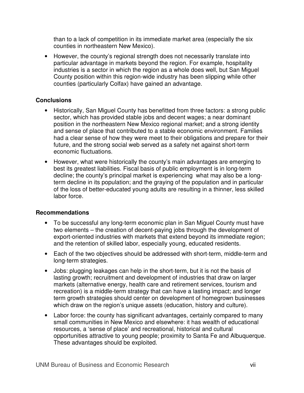than to a lack of competition in its immediate market area (especially the six counties in northeastern New Mexico).

• However, the county's regional strength does not necessarily translate into particular advantage in markets beyond the region. For example, hospitality industries is a sector in which the region as a whole does well, but San Miguel County position within this region-wide industry has been slipping while other counties (particularly Colfax) have gained an advantage.

## **Conclusions**

- Historically, San Miguel County has benefitted from three factors: a strong public sector, which has provided stable jobs and decent wages; a near dominant position in the northeastern New Mexico regional market; and a strong identity and sense of place that contributed to a stable economic environment. Families had a clear sense of how they were meet to their obligations and prepare for their future, and the strong social web served as a safety net against short-term economic fluctuations.
- However, what were historically the county's main advantages are emerging to best its greatest liabilities. Fiscal basis of public employment is in long-term decline; the county's principal market is experiencing what may also be a longterm decline in its population; and the graying of the population and in particular of the loss of better-educated young adults are resulting in a thinner, less skilled labor force.

### **Recommendations**

- To be successful any long-term economic plan in San Miguel County must have two elements – the creation of decent-paying jobs through the development of export-oriented industries with markets that extend beyond its immediate region; and the retention of skilled labor, especially young, educated residents.
- Each of the two objectives should be addressed with short-term, middle-term and long-term strategies.
- Jobs: plugging leakages can help in the short-term, but it is not the basis of lasting growth; recruitment and development of industries that draw on larger markets (alternative energy, health care and retirement services, tourism and recreation) is a middle-term strategy that can have a lasting impact; and longer term growth strategies should center on development of homegrown businesses which draw on the region's unique assets (education, history and culture).
- Labor force: the county has significant advantages, certainly compared to many small communities in New Mexico and elsewhere: it has wealth of educational resources, a 'sense of place' and recreational, historical and cultural opportunities attractive to young people; proximity to Santa Fe and Albuquerque. These advantages should be exploited.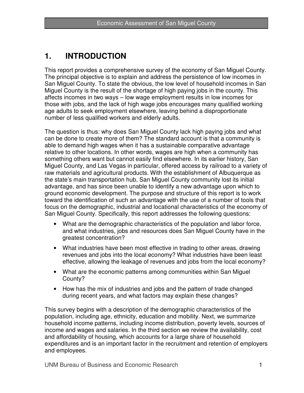## **1. INTRODUCTION**

This report provides a comprehensive survey of the economy of San Miguel County. The principal objective is to explain and address the persistence of low incomes in San Miguel County. To state the obvious, the low level of household incomes in San Miguel County is the result of the shortage of high paying jobs in the county. This affects incomes in two ways – low wage employment results in low incomes for those with jobs, and the lack of high wage jobs encourages many qualified working age adults to seek employment elsewhere, leaving behind a disproportionate number of less qualified workers and elderly adults.

The question is thus: why does San Miguel County lack high paying jobs and what can be done to create more of them? The standard account is that a community is able to demand high wages when it has a sustainable comparative advantage relative to other locations. In other words, wages are high when a community has something others want but cannot easily find elsewhere. In its earlier history, San Miguel County, and Las Vegas in particular, offered access by railroad to a variety of raw materials and agricultural products. With the establishment of Albuquerque as the state's main transportation hub, San Miguel County community lost its initial advantage, and has since been unable to identify a new advantage upon which to ground economic development. The purpose and structure of this report is to work toward the identification of such an advantage with the use of a number of tools that focus on the demographic, industrial and locational characteristics of the economy of San Miguel County. Specifically, this report addresses the following questions:

- What are the demographic characteristics of the population and labor force, and what industries, jobs and resources does San Miguel County have in the greatest concentration?
- What industries have been most effective in trading to other areas, drawing revenues and jobs into the local economy? What industries have been least effective, allowing the leakage of revenues and jobs from the local economy?
- What are the economic patterns among communities within San Miguel County?
- How has the mix of industries and jobs and the pattern of trade changed during recent years, and what factors may explain these changes?

This survey begins with a description of the demographic characteristics of the population, including age, ethnicity, education and mobility. Next, we summarize household income patterns, including income distribution, poverty levels, sources of income and wages and salaries. In the third section we review the availability, cost and affordability of housing, which accounts for a large share of household expenditures and is an important factor in the recruitment and retention of employers and employees.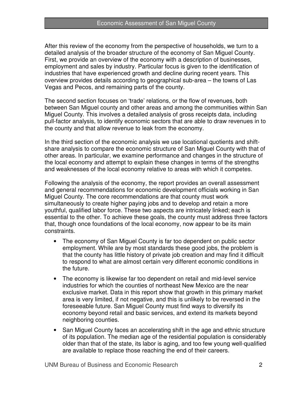After this review of the economy from the perspective of households, we turn to a detailed analysis of the broader structure of the economy of San Miguel County. First, we provide an overview of the economy with a description of businesses, employment and sales by industry. Particular focus is given to the identification of industries that have experienced growth and decline during recent years. This overview provides details according to geographical sub-area – the towns of Las Vegas and Pecos, and remaining parts of the county.

The second section focuses on 'trade' relations, or the flow of revenues, both between San Miguel county and other areas and among the communities within San Miguel County. This involves a detailed analysis of gross receipts data, including pull-factor analysis, to identify economic sectors that are able to draw revenues in to the county and that allow revenue to leak from the economy.

In the third section of the economic analysis we use locational quotients and shiftshare analysis to compare the economic structure of San Miguel County with that of other areas. In particular, we examine performance and changes in the structure of the local economy and attempt to explain these changes in terms of the strengths and weaknesses of the local economy relative to areas with which it competes.

Following the analysis of the economy, the report provides an overall assessment and general recommendations for economic development officials working in San Miguel County. The core recommendations are that county must work simultaneously to create higher paying jobs and to develop and retain a more youthful, qualified labor force. These two aspects are intricately linked; each is essential to the other. To achieve these goals, the county must address three factors that, though once foundations of the local economy, now appear to be its main constraints.

- The economy of San Miguel County is far too dependent on public sector employment. While are by most standards these good jobs, the problem is that the county has little history of private job creation and may find it difficult to respond to what are almost certain very different economic conditions in the future.
- The economy is likewise far too dependent on retail and mid-level service industries for which the counties of northeast New Mexico are the near exclusive market. Data in this report show that growth in this primary market area is very limited, if not negative, and this is unlikely to be reversed in the foreseeable future. San Miguel County must find ways to diversify its economy beyond retail and basic services, and extend its markets beyond neighboring counties.
- San Miguel County faces an accelerating shift in the age and ethnic structure of its population. The median age of the residential population is considerably older than that of the state, its labor is aging, and too few young well-qualified are available to replace those reaching the end of their careers.

UNM Bureau of Business and Economic Research 2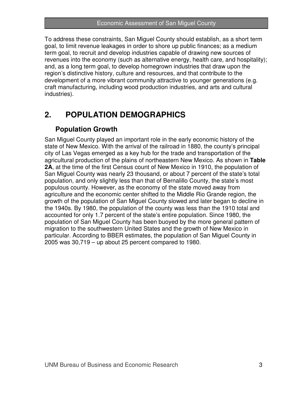To address these constraints, San Miguel County should establish, as a short term goal, to limit revenue leakages in order to shore up public finances; as a medium term goal, to recruit and develop industries capable of drawing new sources of revenues into the economy (such as alternative energy, health care, and hospitality); and, as a long term goal, to develop homegrown industries that draw upon the region's distinctive history, culture and resources, and that contribute to the development of a more vibrant community attractive to younger generations (e.g. craft manufacturing, including wood production industries, and arts and cultural industries).

## **2. POPULATION DEMOGRAPHICS**

## **Population Growth**

San Miguel County played an important role in the early economic history of the state of New Mexico. With the arrival of the railroad in 1880, the county's principal city of Las Vegas emerged as a key hub for the trade and transportation of the agricultural production of the plains of northeastern New Mexico. As shown in **Table 2A**, at the time of the first Census count of New Mexico in 1910, the population of San Miguel County was nearly 23 thousand, or about 7 percent of the state's total population, and only slightly less than that of Bernalillo County, the state's most populous county. However, as the economy of the state moved away from agriculture and the economic center shifted to the Middle Rio Grande region, the growth of the population of San Miguel County slowed and later began to decline in the 1940s. By 1980, the population of the county was less than the 1910 total and accounted for only 1.7 percent of the state's entire population. Since 1980, the population of San Miguel County has been buoyed by the more general pattern of migration to the southwestern United States and the growth of New Mexico in particular. According to BBER estimates, the population of San Miguel County in 2005 was 30,719 – up about 25 percent compared to 1980.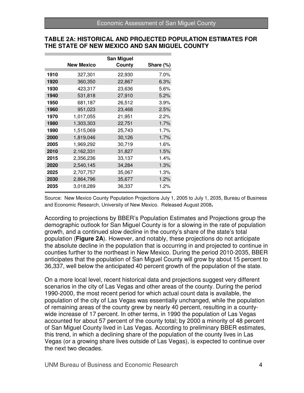#### **TABLE 2A: HISTORICAL AND PROJECTED POPULATION ESTIMATES FOR THE STATE OF NEW MEXICO AND SAN MIGUEL COUNTY**

|      |                   | <b>San Miguel</b> |           |
|------|-------------------|-------------------|-----------|
|      | <b>New Mexico</b> | County            | Share (%) |
| 1910 | 327,301           | 22,930            | 7.0%      |
| 1920 | 360,350           | 22,867            | 6.3%      |
| 1930 | 423,317           | 23,636            | 5.6%      |
| 1940 | 531,818           | 27,910            | 5.2%      |
| 1950 | 681,187           | 26,512            | 3.9%      |
| 1960 | 951,023           | 23,468            | 2.5%      |
| 1970 | 1,017,055         | 21,951            | 2.2%      |
| 1980 | 1,303,303         | 22,751            | 1.7%      |
| 1990 | 1,515,069         | 25,743            | 1.7%      |
| 2000 | 1,819,046         | 30,126            | 1.7%      |
| 2005 | 1,969,292         | 30,719            | 1.6%      |
| 2010 | 2,162,331         | 31,827            | 1.5%      |
| 2015 | 2,356,236         | 33,137            | 1.4%      |
| 2020 | 2,540,145         | 34,284            | 1.3%      |
| 2025 | 2,707,757         | 35,067            | 1.3%      |
| 2030 | 2,864,796         | 35,677            | 1.2%      |
| 2035 | 3,018,289         | 36,337            | 1.2%      |

Source: New Mexico County Population Projections July 1, 2005 to July 1, 2035, Bureau of Business and Economic Research, University of New Mexico. Released August 2008**.** 

According to projections by BBER's Population Estimates and Projections group the demographic outlook for San Miguel County is for a slowing in the rate of population growth, and a continued slow decline in the county's share of the state's total population (**Figure 2A**). However, and notably, these projections do not anticipate the absolute decline in the population that is occurring in and projected to continue in counties further to the northeast in New Mexico. During the period 2010-2035, BBER anticipates that the population of San Miguel County will grow by about 15 percent to 36,337, well below the anticipated 40 percent growth of the population of the state.

On a more local level, recent historical data and projections suggest very different scenarios in the city of Las Vegas and other areas of the county. During the period 1990-2000, the most recent period for which actual count data is available, the population of the city of Las Vegas was essentially unchanged, while the population of remaining areas of the county grew by nearly 40 percent, resulting in a countywide increase of 17 percent. In other terms, in 1990 the population of Las Vegas accounted for about 57 percent of the county total; by 2000 a minority of 48 percent of San Miguel County lived in Las Vegas. According to preliminary BBER estimates, this trend, in which a declining share of the population of the county lives in Las Vegas (or a growing share lives outside of Las Vegas), is expected to continue over the next two decades.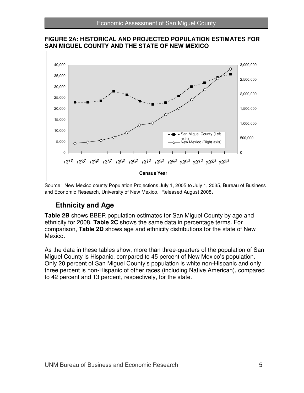

**FIGURE 2A: HISTORICAL AND PROJECTED POPULATION ESTIMATES FOR SAN MIGUEL COUNTY AND THE STATE OF NEW MEXICO** 

Source: New Mexico county Population Projections July 1, 2005 to July 1, 2035, Bureau of Business and Economic Research, University of New Mexico. Released August 2008**.** 

## **Ethnicity and Age**

**Table 2B** shows BBER population estimates for San Miguel County by age and ethnicity for 2008. **Table 2C** shows the same data in percentage terms. For comparison, **Table 2D** shows age and ethnicity distributions for the state of New Mexico.

As the data in these tables show, more than three-quarters of the population of San Miguel County is Hispanic, compared to 45 percent of New Mexico's population. Only 20 percent of San Miguel County's population is white non-Hispanic and only three percent is non-Hispanic of other races (including Native American), compared to 42 percent and 13 percent, respectively, for the state.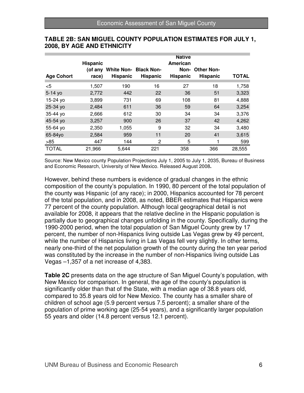|                   | <b>Hispanic</b><br>(of anv | <b>White Non- Black Non-</b> |          | <b>Native</b><br>American | Non-Other Non-  |              |
|-------------------|----------------------------|------------------------------|----------|---------------------------|-----------------|--------------|
| <b>Age Cohort</b> | race)                      | <b>Hispanic</b>              | Hispanic | Hispanic                  | <b>Hispanic</b> | <b>TOTAL</b> |
| $<$ 5             | 1,507                      | 190                          | 16       | 27                        | 18              | 1,758        |
| $5 - 14$ yo       | 2,772                      | 442                          | 22       | 36                        | 51              | 3,323        |
| 15-24 yo          | 3,899                      | 731                          | 69       | 108                       | 81              | 4,888        |
| 25-34 yo          | 2,484                      | 611                          | 36       | 59                        | 64              | 3,254        |
| 35-44 yo          | 2,666                      | 612                          | 30       | 34                        | 34              | 3,376        |
| 45-54 yo          | 3,257                      | 900                          | 26       | 37                        | 42              | 4,262        |
| 55-64 yo          | 2,350                      | 1,055                        | 9        | 32                        | 34              | 3,480        |
| 65-84yo           | 2,584                      | 959                          | 11       | 20                        | 41              | 3,615        |
| $>85$             | 447                        | 144                          | 2        | 5                         |                 | 599          |
| <b>TOTAL</b>      | 21,966                     | 5.644                        | 221      | 358                       | 366             | 28,555       |

### **TABLE 2B: SAN MIGUEL COUNTY POPULATION ESTIMATES FOR JULY 1, 2008, BY AGE AND ETHNICITY**

Source: New Mexico county Population Projections July 1, 2005 to July 1, 2035, Bureau of Business and Economic Research, University of New Mexico. Released August 2008**.** 

However, behind these numbers is evidence of gradual changes in the ethnic composition of the county's population. In 1990, 80 percent of the total population of the county was Hispanic (of any race); in 2000, Hispanics accounted for 78 percent of the total population, and in 2008, as noted, BBER estimates that Hispanics were 77 percent of the county population. Although local geographical detail is not available for 2008, it appears that the relative decline in the Hispanic population is partially due to geographical changes unfolding in the county. Specifically, during the 1990-2000 period, when the total population of San Miguel County grew by 17 percent, the number of non-Hispanics living outside Las Vegas grew by 49 percent, while the number of Hispanics living in Las Vegas fell very slightly. In other terms, nearly one-third of the net population growth of the county during the ten year period was constituted by the increase in the number of non-Hispanics living outside Las Vegas –1,357 of a net increase of 4,383.

**Table 2C** presents data on the age structure of San Miguel County's population, with New Mexico for comparison. In general, the age of the county's population is significantly older than that of the State, with a median age of 38.8 years old, compared to 35.8 years old for New Mexico. The county has a smaller share of children of school age (5.9 percent versus 7.5 percent); a smaller share of the population of prime working age (25-54 years), and a significantly larger population 55 years and older (14.8 percent versus 12.1 percent).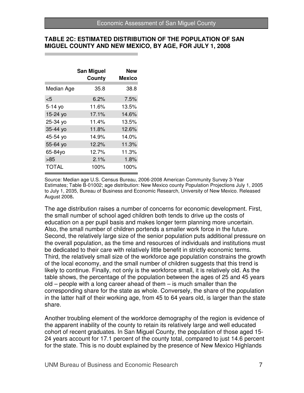#### **TABLE 2C: ESTIMATED DISTRIBUTION OF THE POPULATION OF SAN MIGUEL COUNTY AND NEW MEXICO, BY AGE, FOR JULY 1, 2008**

|            | San Miguel<br>County | New<br>Mexico |
|------------|----------------------|---------------|
| Median Age | 35.8                 | 38.8          |
| $<$ 5      | 6.2%                 | 7.5%          |
| 5-14 yo    | 11.6%                | 13.5%         |
| 15-24 yo   | $17.1\%$             | 14.6%         |
| 25-34 yo   | 11.4%                | 13.5%         |
| 35-44 yo   | 11.8%                | 12.6%         |
| 45-54 yo   | 14.9%                | 14.0%         |
| 55-64 yo   | 12.2%                | 11.3%         |
| 65-84yo    | 12.7%                | 11.3%         |
| >85        | $2.1\%$              | 1.8%          |
| TOTAL      | 100%                 | 100%          |

Source: Median age U.S. Census Bureau, 2006-2008 American Community Survey 3-Year Estimates; Table B-01002; age distribution: New Mexico county Population Projections July 1, 2005 to July 1, 2035, Bureau of Business and Economic Research, University of New Mexico. Released August 2008**.** 

The age distribution raises a number of concerns for economic development. First, the small number of school aged children both tends to drive up the costs of education on a per pupil basis and makes longer term planning more uncertain. Also, the small number of children portends a smaller work force in the future. Second, the relatively large size of the senior population puts additional pressure on the overall population, as the time and resources of individuals and institutions must be dedicated to their care with relatively little benefit in strictly economic terms. Third, the relatively small size of the workforce age population constrains the growth of the local economy, and the small number of children suggests that this trend is likely to continue. Finally, not only is the workforce small, it is relatively old. As the table shows, the percentage of the population between the ages of 25 and 45 years old – people with a long career ahead of them – is much smaller than the corresponding share for the state as whole. Conversely, the share of the population in the latter half of their working age, from 45 to 64 years old, is larger than the state share.

Another troubling element of the workforce demography of the region is evidence of the apparent inability of the county to retain its relatively large and well educated cohort of recent graduates. In San Miguel County, the population of those aged 15- 24 years account for 17.1 percent of the county total, compared to just 14.6 percent for the state. This is no doubt explained by the presence of New Mexico Highlands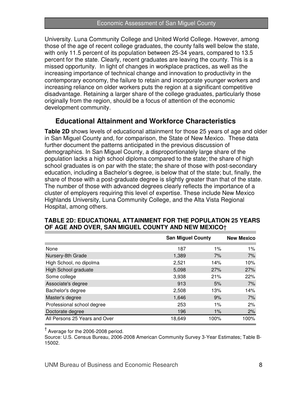University. Luna Community College and United World College. However, among those of the age of recent college graduates, the county falls well below the state, with only 11.5 percent of its population between 25-34 years, compared to 13.5 percent for the state. Clearly, recent graduates are leaving the county. This is a missed opportunity. In light of changes in workplace practices, as well as the increasing importance of technical change and innovation to productivity in the contemporary economy, the failure to retain and incorporate younger workers and increasing reliance on older workers puts the region at a significant competitive disadvantage. Retaining a larger share of the college graduates, particularly those originally from the region, should be a focus of attention of the economic development community.

## **Educational Attainment and Workforce Characteristics**

**Table 2D** shows levels of educational attainment for those 25 years of age and older in San Miguel County and, for comparison, the State of New Mexico. These data further document the patterns anticipated in the previous discussion of demographics. In San Miguel County, a disproportionately large share of the population lacks a high school diploma compared to the state; the share of high school graduates is on par with the state; the share of those with post-secondary education, including a Bachelor's degree, is below that of the state; but, finally, the share of those with a post-graduate degree is slightly greater than that of the state. The number of those with advanced degrees clearly reflects the importance of a cluster of employers requiring this level of expertise. These include New Mexico Highlands University, Luna Community College, and the Alta Vista Regional Hospital, among others.

|                               | <b>San Miguel County</b> |       | <b>New Mexico</b> |
|-------------------------------|--------------------------|-------|-------------------|
| None                          | 187                      | 1%    | $1\%$             |
| Nursery-8th Grade             | 1,389                    | 7%    | 7%                |
| High School, no dipolma       | 2,521                    | 14%   | 10%               |
| High School graduate          | 5,098                    | 27%   | 27%               |
| Some college                  | 3,938                    | 21%   | 22%               |
| Associate's degree            | 913                      | 5%    | 7%                |
| Bachelor's degree             | 2,508                    | 13%   | 14%               |
| Master's degree               | 1,646                    | 9%    | 7%                |
| Professional school degree    | 253                      | $1\%$ | 2%                |
| Doctorate degree              | 196                      | $1\%$ | 2%                |
| All Persons 25 Years and Over | 18,649                   | 100%  | 100%              |

## **TABLE 2D: EDUCATIONAL ATTAINMENT FOR THE POPULATION 25 YEARS OF AGE AND OVER, SAN MIGUEL COUNTY AND NEW MEXICO**†

† Average for the 2006-2008 period.

Source: U.S. Census Bureau, 2006-2008 American Community Survey 3-Year Estimates; Table B-15002.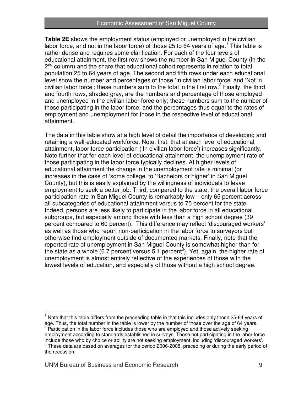**Table 2E** shows the employment status (employed or unemployed in the civilian labor force, and not in the labor force) of those 25 to 64 years of age.<sup>1</sup> This table is rather dense and requires some clarification. For each of the four levels of educational attainment, the first row shows the number in San Miguel County (in the 2<sup>nd</sup> column) and the share that educational cohort represents in relation to total population 25 to 64 years of age. The second and fifth rows under each educational level show the number and percentages of those 'In civilian labor force' and 'Not in civilian labor force'; these numbers sum to the total in the first row.<sup>2</sup> Finally, the third and fourth rows, shaded gray, are the numbers and percentage of those employed and unemployed in the civilian labor force only; these numbers sum to the number of those participating in the labor force, and the percentages thus equal to the rates of employment and unemployment for those in the respective level of educational attainment.

The data in this table show at a high level of detail the importance of developing and retaining a well-educated workforce. Note, first, that at each level of educational attainment, labor force participation ('In civilian labor force') increases significantly. Note further that for each level of educational attainment, the unemployment rate of those participating in the labor force typically declines. At higher levels of educational attainment the change in the unemployment rate is minimal (or increases in the case of 'some college' to 'Bachelors or higher' in San Miguel County), but this is easily explained by the willingness of individuals to leave employment to seek a better job. Third, compared to the state, the overall labor force participation rate in San Miguel County is remarkably low – only 65 percent across all subcategories of educational attainment versus to 75 percent for the state. Indeed, persons are less likely to participate in the labor force in all educational subgroups, but especially among those with less than a high school degree (39 percent compared to 60 percent). This difference may reflect 'discouraged workers' as well as those who report non-participation in the labor force to surveyors but otherwise find employment outside of documented markets. Finally, note that the reported rate of unemployment in San Miguel County is somewhat higher than for the state as a whole (6.7 percent versus 5.1 percent<sup>3</sup>). Yet, again, the higher rate of unemployment is almost entirely reflective of the experiences of those with the lowest levels of education, and especially of those without a high school degree.

 $\overline{a}$ 

<sup>&</sup>lt;sup>1</sup> Note that this table differs from the preceeding table in that this includes only those 25-64 years of age. Thus, the total number in the table is lower by the number of those over the age of 64 years.<br><sup>2</sup> Participation in the labor force includes those who are employed and those actively seeking employment according to standards established in surveys. Those not participating in the labor force include those who by choice or ability are not seeking employment, including 'discouraged workers'.

 $3$  These data are based on averages for the period 2006-2008, preceding or during the early period of the recession.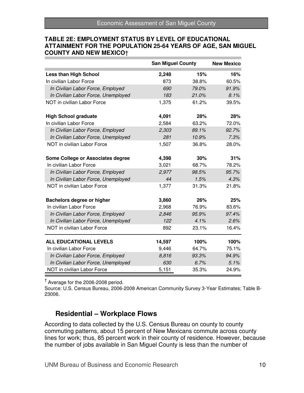#### **TABLE 2E: EMPLOYMENT STATUS BY LEVEL OF EDUCATIONAL ATTAINMENT FOR THE POPULATION 25-64 YEARS OF AGE, SAN MIGUEL COUNTY AND NEW MEXICO**†

|                                     | <b>San Miguel County</b> |       | <b>New Mexico</b> |
|-------------------------------------|--------------------------|-------|-------------------|
| <b>Less than High School</b>        | 2,248                    | 15%   | 16%               |
| In civilian Labor Force             | 873                      | 38.8% | 60.5%             |
| In Civilian Labor Force, Employed   | 690                      | 79.0% | 91.9%             |
| In Civilian Labor Force, Unemployed | 183                      | 21.0% | 8.1%              |
| NOT in civilian Labor Force         | 1,375                    | 61.2% | 39.5%             |
| <b>High School graduate</b>         | 4,091                    | 28%   | 28%               |
| In civilian Labor Force             | 2,584                    | 63.2% | 72.0%             |
| In Civilian Labor Force, Employed   | 2,303                    | 89.1% | 92.7%             |
| In Civilian Labor Force, Unemployed | 281                      | 10.9% | 7.3%              |
| NOT in civilian Labor Force         | 1,507                    | 36.8% | 28.0%             |
| Some College or Associates degree   | 4,398                    | 30%   | 31%               |
| In civilian Labor Force             | 3,021                    | 68.7% | 78.2%             |
| In Civilian Labor Force, Employed   | 2,977                    | 98.5% | 95.7%             |
| In Civilian Labor Force, Unemployed | 44                       | 1.5%  | 4.3%              |
| NOT in civilian Labor Force         | 1,377                    | 31.3% | 21.8%             |
| Bachelors degree or higher          | 3,860                    | 26%   | 25%               |
| In civilian Labor Force             | 2,968                    | 76.9% | 83.6%             |
| In Civilian Labor Force, Employed   | 2,846                    | 95.9% | 97.4%             |
| In Civilian Labor Force, Unemployed | 122                      | 4.1%  | 2.6%              |
| NOT in civilian Labor Force         | 892                      | 23.1% | 16.4%             |
| <b>ALL EDUCATIONAL LEVELS</b>       | 14,597                   | 100%  | 100%              |
| In civilian Labor Force             | 9,446                    | 64.7% | 75.1%             |
| In Civilian Labor Force, Employed   | 8,816                    | 93.3% | 94.9%             |
| In Civilian Labor Force, Unemployed | 630                      | 6.7%  | 5.1%              |
| NOT in civilian Labor Force         | 5,151                    | 35.3% | 24.9%             |

† Average for the 2006-2008 period.

Source: U.S. Census Bureau, 2006-2008 American Community Survey 3-Year Estimates; Table B-23006.

## **Residential – Workplace Flows**

According to data collected by the U.S. Census Bureau on county to county commuting patterns, about 15 percent of New Mexicans commute across county lines for work; thus, 85 percent work in their county of residence. However, because the number of jobs available in San Miguel County is less than the number of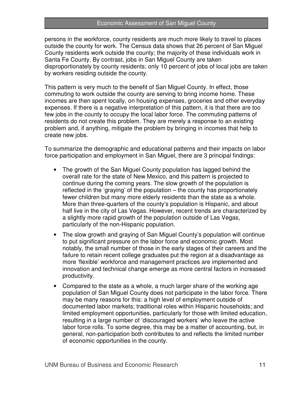persons in the workforce, county residents are much more likely to travel to places outside the county for work. The Census data shows that 26 percent of San Miguel County residents work outside the county; the majority of these individuals work in Santa Fe County. By contrast, jobs in San Miguel County are taken disproportionately by county residents; only 10 percent of jobs of local jobs are taken by workers residing outside the county.

This pattern is very much to the benefit of San Miguel County. In effect, those commuting to work outside the county are serving to bring income home. These incomes are then spent locally, on housing expenses, groceries and other everyday expenses. If there is a negative interpretation of this pattern, it is that there are too few jobs in the county to occupy the local labor force. The commuting patterns of residents do not create this problem. They are merely a response to an existing problem and, if anything, mitigate the problem by bringing in incomes that help to create new jobs.

To summarize the demographic and educational patterns and their impacts on labor force participation and employment in San Miguel, there are 3 principal findings:

- The growth of the San Miguel County population has lagged behind the overall rate for the state of New Mexico, and this pattern is projected to continue during the coming years. The slow growth of the population is reflected in the 'graying' of the population – the county has proportionately fewer children but many more elderly residents than the state as a whole. More than three-quarters of the county's population is Hispanic, and about half live in the city of Las Vegas. However, recent trends are characterized by a slightly more rapid growth of the population outside of Las Vegas, particularly of the non-Hispanic population.
- The slow growth and graying of San Miguel County's population will continue to put significant pressure on the labor force and economic growth. Most notably, the small number of those in the early stages of their careers and the failure to retain recent college graduates put the region at a disadvantage as more 'flexible' workforce and management practices are implemented and innovation and technical change emerge as more central factors in increased productivity.
- Compared to the state as a whole, a much larger share of the working age population of San Miguel County does not participate in the labor force. There may be many reasons for this: a high level of employment outside of documented labor markets; traditional roles within Hispanic households; and limited employment opportunities, particularly for those with limited education, resulting in a large number of 'discouraged workers' who leave the active labor force rolls. To some degree, this may be a matter of accounting, but, in general, non-participation both contributes to and reflects the limited number of economic opportunities in the county.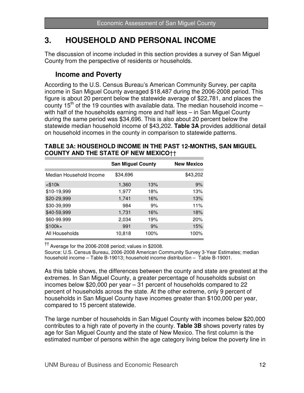## **3. HOUSEHOLD AND PERSONAL INCOME**

The discussion of income included in this section provides a survey of San Miguel County from the perspective of residents or households.

## **Income and Poverty**

According to the U.S. Census Bureau's American Community Survey, per capita income in San Miguel County averaged \$18,487 during the 2006-2008 period. This figure is about 20 percent below the statewide average of \$22,781, and places the county 15<sup>th</sup> of the 19 counties with available data. The median household income  $$ with half of the households earning more and half less – in San Miguel County during the same period was \$34,696. This is also about 20 percent below the statewide median household income of \$43,202. **Table 3A** provides additional detail on household incomes in the county in comparison to statewide patterns.

## **TABLE 3A: HOUSEHOLD INCOME IN THE PAST 12-MONTHS, SAN MIGUEL COUNTY AND THE STATE OF NEW MEXICO**††

|                         | <b>San Miguel County</b> |      | <b>New Mexico</b> |
|-------------------------|--------------------------|------|-------------------|
| Median Household Income | \$34,696                 |      | \$43,202          |
| $<$ \$10 $k$            | 1,360                    | 13%  | 9%                |
| \$10-19,999             | 1,977                    | 18%  | 13%               |
| \$20-29,999             | 1,741                    | 16%  | 13%               |
| \$30-39,999             | 984                      | 9%   | 11%               |
| \$40-59,999             | 1,731                    | 16%  | 18%               |
| \$60-99.999             | 2,034                    | 19%  | 20%               |
| $$100k+$                | 991                      | 9%   | 15%               |
| All Households          | 10,818                   | 100% | 100%              |

 $^{\dagger\dagger}$  Average for the 2006-2008 period; values in \$2008.

Source: U.S. Census Bureau, 2006-2008 American Community Survey 3-Year Estimates; median household income – Table B-19013; household income distribution – Table B-19001.

As this table shows, the differences between the county and state are greatest at the extremes. In San Miguel County, a greater percentage of households subsist on incomes below \$20,000 per year – 31 percent of households compared to 22 percent of households across the state. At the other extreme, only 9 percent of households in San Miguel County have incomes greater than \$100,000 per year, compared to 15 percent statewide.

The large number of households in San Miguel County with incomes below \$20,000 contributes to a high rate of poverty in the county. **Table 3B** shows poverty rates by age for San Miguel County and the state of New Mexico. The first column is the estimated number of persons within the age category living below the poverty line in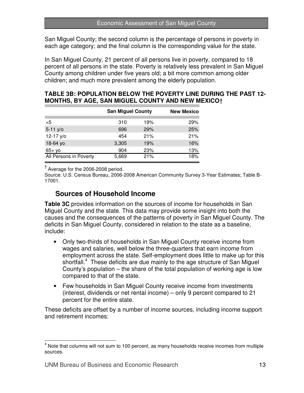San Miguel County; the second column is the percentage of persons in poverty in each age category; and the final column is the corresponding value for the state.

In San Miguel County, 21 percent of all persons live in poverty, compared to 18 percent of all persons in the state. Poverty is relatively less prevalent in San Miguel County among children under five years old; a bit more common among older children; and much more prevalent among the elderly population.

## **TABLE 3B: POPULATION BELOW THE POVERTY LINE DURING THE PAST 12- MONTHS, BY AGE, SAN MIGUEL COUNTY AND NEW MEXICO**†

|                        | <b>San Miguel County</b> |     | <b>New Mexico</b> |
|------------------------|--------------------------|-----|-------------------|
| $<$ 5                  | 310                      | 19% | 29%               |
| $5-11 y/o$             | 696                      | 29% | 25%               |
| 12-17 y/o              | 454                      | 21% | 21%               |
| 18-64 yo               | 3,305                    | 19% | 16%               |
| $65+$ yo               | 904                      | 23% | 13%               |
| All Persons in Poverty | 5,669                    | 21% | 18%               |

† Average for the 2006-2008 period.

Source: U.S. Census Bureau, 2006-2008 American Community Survey 3-Year Estimates; Table B-17001.

## **Sources of Household Income**

**Table 3C** provides information on the sources of income for households in San Miguel County and the state. This data may provide some insight into both the causes and the consequences of the patterns of poverty in San Miguel County. The deficits in San Miguel County, considered in relation to the state as a baseline, include:

- Only two-thirds of households in San Miguel County receive income from wages and salaries, well below the three-quarters that earn income from employment across the state. Self-employment does little to make up for this shortfall. $4$  These deficits are due mainly to the age structure of San Miguel County's population – the share of the total population of working age is low compared to that of the state.
- Few households in San Miguel County receive income from investments (interest, dividends or net rental income) – only 9 percent compared to 21 percent for the entire state.

These deficits are offset by a number of income sources, including income support and retirement incomes:

 $\overline{\phantom{a}}$ 

 $<sup>4</sup>$  Note that columns will not sum to 100 percent, as many households receive incomes from multiple</sup> sources.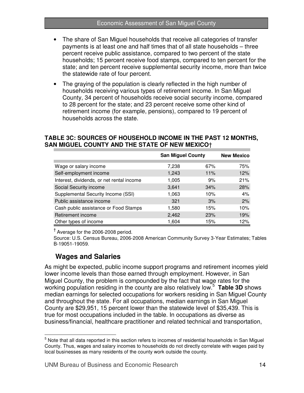- The share of San Miguel households that receive all categories of transfer payments is at least one and half times that of all state households – three percent receive public assistance, compared to two percent of the state households; 15 percent receive food stamps, compared to ten percent for the state; and ten percent receive supplemental security income, more than twice the statewide rate of four percent.
- The graying of the population is clearly reflected in the high number of households receiving various types of retirement income. In San Miguel County, 34 percent of households receive social security income, compared to 28 percent for the state; and 23 percent receive some other kind of retirement income (for example, pensions), compared to 19 percent of households across the state.

## **TABLE 3C: SOURCES OF HOUSEHOLD INCOME IN THE PAST 12 MONTHS, SAN MIGUEL COUNTY AND THE STATE OF NEW MEXICO**†

|                                           | <b>San Miguel County</b> |     | <b>New Mexico</b> |
|-------------------------------------------|--------------------------|-----|-------------------|
|                                           |                          |     |                   |
| Wage or salary income                     | 7,238                    | 67% | 75%               |
| Self-employment income                    | 1,243                    | 11% | 12%               |
| Interest, dividends, or net rental income | 1,005                    | 9%  | 21%               |
| Social Security income                    | 3,641                    | 34% | 28%               |
| Supplemental Security Income (SSI)        | 1,063                    | 10% | 4%                |
| Public assistance income                  | 321                      | 3%  | 2%                |
| Cash public assistance or Food Stamps     | 1,580                    | 15% | 10%               |
| Retirement income                         | 2,462                    | 23% | 19%               |
| Other types of income                     | 1,604                    | 15% | 12%               |

† Average for the 2006-2008 period.

Source: U.S. Census Bureau, 2006-2008 American Community Survey 3-Year Estimates; Tables B-19051-19059.

## **Wages and Salaries**

As might be expected, public income support programs and retirement incomes yield lower income levels than those earned through employment. However, in San Miguel County, the problem is compounded by the fact that wage rates for the working population residing in the county are also relatively low.<sup>5</sup> **Table 3D** shows median earnings for selected occupations for workers residing in San Miguel County and throughout the state. For all occupations, median earnings in San Miguel County are \$29,951, 15 percent lower than the statewide level of \$35,439. This is true for most occupations included in the table. In occupations as diverse as business/financial, healthcare practitioner and related technical and transportation,

 5 Note that all data reported in this section refers to incomes of residential households in San Miguel County. Thus, wages and salary incomes to households do not directly correlate with wages paid by local businesses as many residents of the county work outside the county.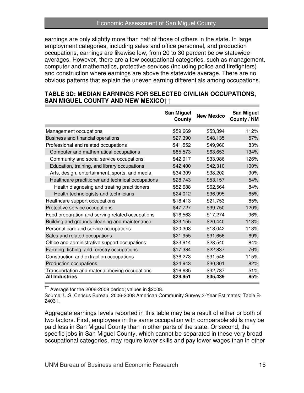#### Economic Assessment of San Miguel County

earnings are only slightly more than half of those of others in the state. In large employment categories, including sales and office personnel, and production occupations, earnings are likewise low, from 20 to 30 percent below statewide averages. However, there are a few occupational categories, such as management, computer and mathematics, protective services (including police and firefighters) and construction where earnings are above the statewide average. There are no obvious patterns that explain the uneven earning differentials among occupations.

#### **TABLE 3D: MEDIAN EARNINGS FOR SELECTED CIVILIAN OCCUPATIONS, SAN MIGUEL COUNTY AND NEW MEXICO**††

|                                                   | <b>San Miguel</b><br>County | <b>New Mexico</b> | San Miguel<br>County / NM |
|---------------------------------------------------|-----------------------------|-------------------|---------------------------|
| Management occupations                            | \$59,669                    | \$53,394          | 112%                      |
| Business and financial operations                 | \$27,390                    | \$48,135          | 57%                       |
| Professional and related occupations              | \$41,552                    | \$49,960          | 83%                       |
| Computer and mathematical occupations             | \$85,573                    | \$63,653          | 134%                      |
| Community and social service occupations          | \$42,917                    | \$33,986          | 126%                      |
| Education, training, and library occupations      | \$42,400                    | \$42,310          | 100%                      |
| Arts, design, entertainment, sports, and media    | \$34,309                    | \$38,202          | 90%                       |
| Healthcare practitioner and technical occupations | \$28,743                    | \$53,157          | 54%                       |
| Health diagnosing and treating practitioners      | \$52,688                    | \$62,564          | 84%                       |
| Health technologists and technicians              | \$24,012                    | \$36,995          | 65%                       |
| Healthcare support occupations                    | \$18,413                    | \$21,753          | 85%                       |
| Protective service occupations                    | \$47,727                    | \$39,750          | 120%                      |
| Food preparation and serving related occupations  | \$16,563                    | \$17,274          | 96%                       |
| Building and grounds cleaning and maintenance     | \$23,155                    | \$20,440          | 113%                      |
| Personal care and service occupations             | \$20,303                    | \$18,042          | 113%                      |
| Sales and related occupations                     | \$21,955                    | \$31,656          | 69%                       |
| Office and administrative support occupations     | \$23,914                    | \$28,540          | 84%                       |
| Farming, fishing, and forestry occupations        | \$17,384                    | \$22,837          | 76%                       |
| Construction and extraction occupations           | \$36,273                    | \$31,546          | 115%                      |
| Production occupations                            | \$24,943                    | \$30,301          | 82%                       |
| Transportation and material moving occupations    | \$16,635                    | \$32,787          | 51%                       |
| <b>All Industries</b>                             | \$29,951                    | \$35,439          | 85%                       |

†† Average for the 2006-2008 period; values in \$2008.

Source: U.S. Census Bureau, 2006-2008 American Community Survey 3-Year Estimates; Table B-24031.

Aggregate earnings levels reported in this table may be a result of either or both of two factors. First, employees in the same occupation with comparable skills may be paid less in San Miguel County than in other parts of the state. Or second, the specific jobs in San Miguel County, which cannot be separated in these very broad occupational categories, may require lower skills and pay lower wages than in other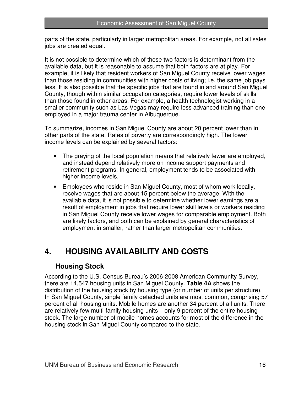parts of the state, particularly in larger metropolitan areas. For example, not all sales jobs are created equal.

It is not possible to determine which of these two factors is determinant from the available data, but it is reasonable to assume that both factors are at play. For example, it is likely that resident workers of San Miguel County receive lower wages than those residing in communities with higher costs of living; i.e. the same job pays less. It is also possible that the specific jobs that are found in and around San Miguel County, though within similar occupation categories, require lower levels of skills than those found in other areas. For example, a health technologist working in a smaller community such as Las Vegas may require less advanced training than one employed in a major trauma center in Albuquerque.

To summarize, incomes in San Miguel County are about 20 percent lower than in other parts of the state. Rates of poverty are correspondingly high. The lower income levels can be explained by several factors:

- The graying of the local population means that relatively fewer are employed, and instead depend relatively more on income support payments and retirement programs. In general, employment tends to be associated with higher income levels.
- Employees who reside in San Miguel County, most of whom work locally, receive wages that are about 15 percent below the average. With the available data, it is not possible to determine whether lower earnings are a result of employment in jobs that require lower skill levels or workers residing in San Miguel County receive lower wages for comparable employment. Both are likely factors, and both can be explained by general characteristics of employment in smaller, rather than larger metropolitan communities.

## **4. HOUSING AVAILABILITY AND COSTS**

## **Housing Stock**

According to the U.S. Census Bureau's 2006-2008 American Community Survey, there are 14,547 housing units in San Miguel County. **Table 4A** shows the distribution of the housing stock by housing type (or number of units per structure). In San Miguel County, single family detached units are most common, comprising 57 percent of all housing units. Mobile homes are another 34 percent of all units. There are relatively few multi-family housing units – only 9 percent of the entire housing stock. The large number of mobile homes accounts for most of the difference in the housing stock in San Miguel County compared to the state.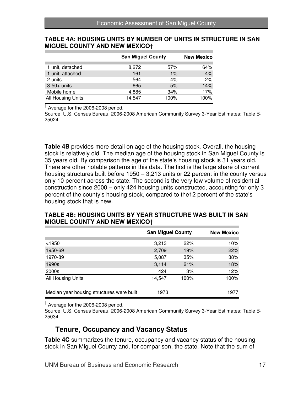#### **TABLE 4A: HOUSING UNITS BY NUMBER OF UNITS IN STRUCTURE IN SAN MIGUEL COUNTY AND NEW MEXICO**†

|                   |        | <b>San Miguel County</b> |      |  |  |
|-------------------|--------|--------------------------|------|--|--|
| 1 unit, detached  | 8,272  | 57%                      | 64%  |  |  |
| 1 unit, attached  | 161    | $1\%$                    | 4%   |  |  |
| 2 units           | 564    | 4%                       | 2%   |  |  |
| $3-50+$ units     | 665    | 5%                       | 14%  |  |  |
| Mobile home       | 4,885  | 34%                      | 17%  |  |  |
| All Housing Units | 14,547 | 100%                     | 100% |  |  |

† Average for the 2006-2008 period.

Source: U.S. Census Bureau, 2006-2008 American Community Survey 3-Year Estimates; Table B-25024.

**Table 4B** provides more detail on age of the housing stock. Overall, the housing stock is relatively old. The median age of the housing stock in San Miguel County is 35 years old. By comparison the age of the state's housing stock is 31 years old. There are other notable patterns in this data. The first is the large share of current housing structures built before 1950 – 3,213 units or 22 percent in the county versus only 10 percent across the state. The second is the very low volume of residential construction since 2000 – only 424 housing units constructed, accounting for only 3 percent of the county's housing stock, compared to the12 percent of the state's housing stock that is new.

## **TABLE 4B: HOUSING UNITS BY YEAR STRUCTURE WAS BUILT IN SAN MIGUEL COUNTY AND NEW MEXICO**†

|                                           | <b>San Miguel County</b> | <b>New Mexico</b> |      |
|-------------------------------------------|--------------------------|-------------------|------|
| $<$ 1950                                  | 3,213                    | 22%               | 10%  |
| 1950-69                                   | 2,709                    | 19%               | 22%  |
| 1970-89                                   | 5,087                    | 35%               | 38%  |
| 1990s                                     | 3,114                    | 21%               | 18%  |
| 2000s                                     | 424                      | 3%                | 12%  |
| All Housing Units                         | 14,547                   | 100%              | 100% |
| Median year housing structures were built | 1973                     |                   | 1977 |

† Average for the 2006-2008 period.

Source: U.S. Census Bureau, 2006-2008 American Community Survey 3-Year Estimates; Table B-25034.

## **Tenure, Occupancy and Vacancy Status**

**Table 4C** summarizes the tenure, occupancy and vacancy status of the housing stock in San Miguel County and, for comparison, the state. Note that the sum of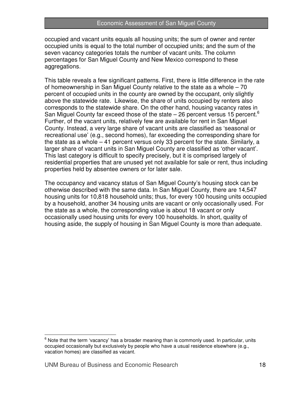occupied and vacant units equals all housing units; the sum of owner and renter occupied units is equal to the total number of occupied units; and the sum of the seven vacancy categories totals the number of vacant units. The column percentages for San Miguel County and New Mexico correspond to these aggregations.

This table reveals a few significant patterns. First, there is little difference in the rate of homeownership in San Miguel County relative to the state as a whole – 70 percent of occupied units in the county are owned by the occupant, only slightly above the statewide rate. Likewise, the share of units occupied by renters also corresponds to the statewide share. On the other hand, housing vacancy rates in San Miguel County far exceed those of the state  $-$  26 percent versus 15 percent.<sup>6</sup> Further, of the vacant units, relatively few are available for rent in San Miguel County. Instead, a very large share of vacant units are classified as 'seasonal or recreational use' (e.g., second homes), far exceeding the corresponding share for the state as a whole – 41 percent versus only 33 percent for the state. Similarly, a larger share of vacant units in San Miguel County are classified as 'other vacant'. This last category is difficult to specify precisely, but it is comprised largely of residential properties that are unused yet not available for sale or rent, thus including properties held by absentee owners or for later sale.

The occupancy and vacancy status of San Miguel County's housing stock can be otherwise described with the same data. In San Miguel County, there are 14,547 housing units for 10,818 household units; thus, for every 100 housing units occupied by a household, another 34 housing units are vacant or only occasionally used. For the state as a whole, the corresponding value is about 18 vacant or only occasionally used housing units for every 100 households. In short, quality of housing aside, the supply of housing in San Miguel County is more than adequate.

 $\overline{a}$ 

 $6$  Note that the term 'vacancy' has a broader meaning than is commonly used. In particular, units occupied occasionally but exclusively by people who have a usual residence elsewhere (e.g., vacation homes) are classified as vacant.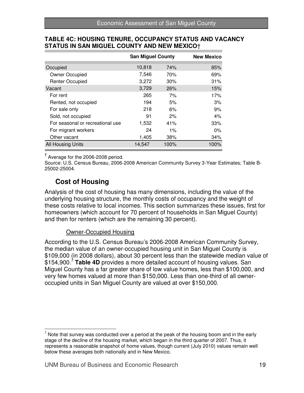|                                  | <b>San Miguel County</b> |      |       |  |  |  |  |  |
|----------------------------------|--------------------------|------|-------|--|--|--|--|--|
|                                  |                          |      |       |  |  |  |  |  |
| Occupied                         | 10,818                   | 74%  | 85%   |  |  |  |  |  |
| Owner Occupied                   | 7,546                    | 70%  | 69%   |  |  |  |  |  |
| <b>Renter Occupied</b>           | 3,272                    | 30%  | 31%   |  |  |  |  |  |
| Vacant                           | 3,729                    | 26%  | 15%   |  |  |  |  |  |
| For rent                         | 265                      | 7%   | 17%   |  |  |  |  |  |
| Rented, not occupied             | 194                      | 5%   | 3%    |  |  |  |  |  |
| For sale only                    | 218                      | 6%   | 9%    |  |  |  |  |  |
| Sold, not occupied               | 91                       | 2%   | 4%    |  |  |  |  |  |
| For seasonal or recreational use | 1,532                    | 41%  | 33%   |  |  |  |  |  |
| For migrant workers              | 24                       | 1%   | $0\%$ |  |  |  |  |  |
| Other vacant                     | 1,405                    | 38%  | 34%   |  |  |  |  |  |
| All Housing Units                | 14,547                   | 100% | 100%  |  |  |  |  |  |

## **TABLE 4C: HOUSING TENURE, OCCUPANCY STATUS AND VACANCY STATUS IN SAN MIGUEL COUNTY AND NEW MEXICO**†

<sup>T</sup> Average for the 2006-2008 period.

Source: U.S. Census Bureau, 2006-2008 American Community Survey 3-Year Estimates; Table B-25002-25004.

## **Cost of Housing**

Analysis of the cost of housing has many dimensions, including the value of the underlying housing structure, the monthly costs of occupancy and the weight of these costs relative to local incomes. This section summarizes these issues, first for homeowners (which account for 70 percent of households in San Miguel County) and then for renters (which are the remaining 30 percent).

### Owner-Occupied Housing

According to the U.S. Census Bureau's 2006-2008 American Community Survey, the median value of an owner-occupied housing unit in San Miguel County is \$109,000 (in 2008 dollars), about 30 percent less than the statewide median value of \$154,900.<sup>7</sup> Table 4D provides a more detailed account of housing values. San Miguel County has a far greater share of low value homes, less than \$100,000, and very few homes valued at more than \$150,000. Less than one-third of all owneroccupied units in San Miguel County are valued at over \$150,000.

 $\overline{a}$  $<sup>7</sup>$  Note that survey was conducted over a period at the peak of the housing boom and in the early</sup> stage of the decline of the housing market, which began in the third quarter of 2007. Thus, it represents a reasonable snapshot of home values, though current (July 2010) values remain well below these averages both nationally and in New Mexico.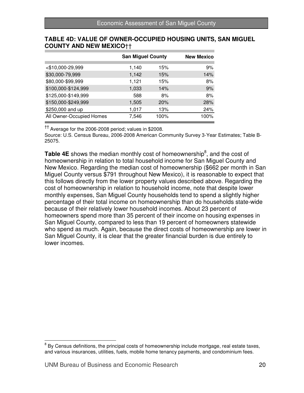|                          | <b>San Miguel County</b> | <b>New Mexico</b> |      |
|--------------------------|--------------------------|-------------------|------|
| <\$10,000-29,999         | 1,140                    | 15%               | 9%   |
| \$30,000-79,999          | 1,142                    | 15%               | 14%  |
| \$80,000-\$99,999        | 1,121                    | 15%               | 8%   |
| \$100,000-\$124,999      | 1,033                    | 14%               | 9%   |
| \$125,000-\$149,999      | 588                      | 8%                | 8%   |
| \$150,000-\$249,999      | 1,505                    | 20%               | 28%  |
| \$250,000 and up         | 1,017                    | 13%               | 24%  |
| All Owner-Occupied Homes | 7.546                    | 100%              | 100% |

## **TABLE 4D: VALUE OF OWNER-OCCUPIED HOUSING UNITS, SAN MIGUEL COUNTY AND NEW MEXICO**††

†† Average for the 2006-2008 period; values in \$2008.

Source: U.S. Census Bureau, 2006-2008 American Community Survey 3-Year Estimates; Table B-25075.

Table 4E shows the median monthly cost of homeownership<sup>8</sup>, and the cost of homeownership in relation to total household income for San Miguel County and New Mexico. Regarding the median cost of homeownership (\$662 per month in San Miguel County versus \$791 throughout New Mexico), it is reasonable to expect that this follows directly from the lower property values described above. Regarding the cost of homeownership in relation to household income, note that despite lower monthly expenses, San Miguel County households tend to spend a slightly higher percentage of their total income on homeownership than do households state-wide because of their relatively lower household incomes. About 23 percent of homeowners spend more than 35 percent of their income on housing expenses in San Miguel County, compared to less than 19 percent of homeowners statewide who spend as much. Again, because the direct costs of homeownership are lower in San Miguel County, it is clear that the greater financial burden is due entirely to lower incomes.

entity consus definitions, the principal costs of homeownership include mortgage, real estate taxes, in the state taxes, and various insurances, utilities, fuels, mobile home tenancy payments, and condominium fees.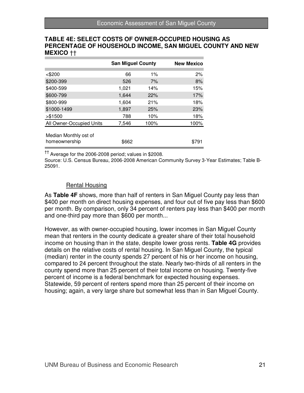### **TABLE 4E: SELECT COSTS OF OWNER-OCCUPIED HOUSING AS PERCENTAGE OF HOUSEHOLD INCOME, SAN MIGUEL COUNTY AND NEW MEXICO** ††

|                                        | <b>San Miguel County</b> | <b>New Mexico</b> |       |  |
|----------------------------------------|--------------------------|-------------------|-------|--|
|                                        |                          |                   |       |  |
| <\$200                                 | 66                       | $1\%$             | 2%    |  |
| \$200-399                              | 526                      | 7%                | 8%    |  |
| \$400-599                              | 1,021                    | 14%               | 15%   |  |
| \$600-799                              | 1.644                    | 22%               | 17%   |  |
| \$800-999                              | 1,604                    | 21%               | 18%   |  |
| \$1000-1499                            | 1,897                    | 25%               | 23%   |  |
| > \$1500                               | 788                      | 10%               | 18%   |  |
| All Owner-Occupied Units               | 7,546                    | 100%              | 100%  |  |
| Median Monthly ost of<br>homeownership | \$662                    |                   | \$791 |  |

†† Average for the 2006-2008 period; values in \$2008.

Source: U.S. Census Bureau, 2006-2008 American Community Survey 3-Year Estimates; Table B-25091.

## Rental Housing

As **Table 4F** shows, more than half of renters in San Miguel County pay less than \$400 per month on direct housing expenses, and four out of five pay less than \$600 per month. By comparison, only 34 percent of renters pay less than \$400 per month and one-third pay more than \$600 per month...

However, as with owner-occupied housing, lower incomes in San Miguel County mean that renters in the county dedicate a greater share of their total household income on housing than in the state, despite lower gross rents. **Table 4G** provides details on the relative costs of rental housing. In San Miguel County, the typical (median) renter in the county spends 27 percent of his or her income on housing, compared to 24 percent throughout the state. Nearly two-thirds of all renters in the county spend more than 25 percent of their total income on housing. Twenty-five percent of income is a federal benchmark for expected housing expenses. Statewide, 59 percent of renters spend more than 25 percent of their income on housing; again, a very large share but somewhat less than in San Miguel County.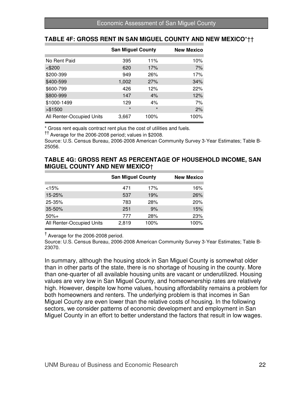## **TABLE 4F: GROSS RENT IN SAN MIGUEL COUNTY AND NEW MEXICO**\*††

|                           | <b>San Miguel County</b> | <b>New Mexico</b> |      |
|---------------------------|--------------------------|-------------------|------|
| No Rent Paid              | 395                      | 11%               | 10%  |
|                           |                          |                   |      |
| $<$ \$200                 | 620                      | 17%               | 7%   |
| \$200-399                 | 949                      | 26%               | 17%  |
| \$400-599                 | 1,002                    | 27%               | 34%  |
| \$600-799                 | 426                      | 12%               | 22%  |
| \$800-999                 | 147                      | 4%                | 12%  |
| \$1000-1499               | 129                      | 4%                | 7%   |
| > \$1500                  | $\star$                  | $\star$           | 2%   |
| All Renter-Occupied Units | 3,667                    | 100%              | 100% |

\* Gross rent equals contract rent plus the cost of utilities and fuels.

†† Average for the 2006-2008 period; values in \$2008.

Source: U.S. Census Bureau, 2006-2008 American Community Survey 3-Year Estimates; Table B-25056.

#### **TABLE 4G: GROSS RENT AS PERCENTAGE OF HOUSEHOLD INCOME, SAN MIGUEL COUNTY AND NEW MEXICO**†

|                           | <b>San Miguel County</b> |      | <b>New Mexico</b> |  |  |
|---------------------------|--------------------------|------|-------------------|--|--|
| $<$ 15%                   | 471                      | 17%  | 16%               |  |  |
| $15 - 25%$                | 537                      | 19%  | 26%               |  |  |
| 25-35%                    | 783                      | 28%  | 20%               |  |  |
| $35 - 50%$                | 251                      | 9%   | 15%               |  |  |
| $50%+$                    | 777                      | 28%  | 23%               |  |  |
| All Renter-Occupied Units | 2,819                    | 100% | 100%              |  |  |

 $<sup>†</sup>$  Average for the 2006-2008 period.</sup>

Source: U.S. Census Bureau, 2006-2008 American Community Survey 3-Year Estimates; Table B-23070.

In summary, although the housing stock in San Miguel County is somewhat older than in other parts of the state, there is no shortage of housing in the county. More than one-quarter of all available housing units are vacant or underutilized. Housing values are very low in San Miguel County, and homeownership rates are relatively high. However, despite low home values, housing affordability remains a problem for both homeowners and renters. The underlying problem is that incomes in San Miguel County are even lower than the relative costs of housing. In the following sectors, we consider patterns of economic development and employment in San Miguel County in an effort to better understand the factors that result in low wages.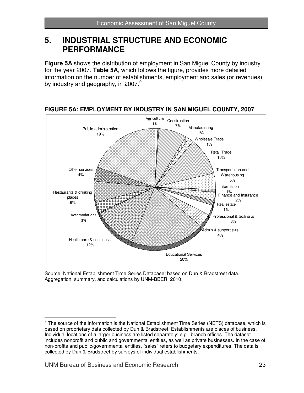## **5. INDUSTRIAL STRUCTURE AND ECONOMIC PERFORMANCE**

**Figure 5A** shows the distribution of employment in San Miguel County by industry for the year 2007. **Table 5A**, which follows the figure, provides more detailed information on the number of establishments, employment and sales (or revenues), by industry and geography, in 2007. $9$ 



## **FIGURE 5A: EMPLOYMENT BY INDUSTRY IN SAN MIGUEL COUNTY, 2007**

Source: National Establishment Time Series Database; based on Dun & Bradstreet data. Aggregation, summary, and calculations by UNM-BBER, 2010.

 9 The source of the information is the National Establishment Time Series (NETS) database, which is based on proprietary data collected by Dun & Bradstreet. Establishments are places of business. Individual locations of a larger business are listed separately; e.g., branch offices. The dataset includes nonprofit and public and governmental entities, as well as private businesses. In the case of non-profits and public/governmental entities, "sales" refers to budgetary expenditures. The data is collected by Dun & Bradstreet by surveys of individual establishments.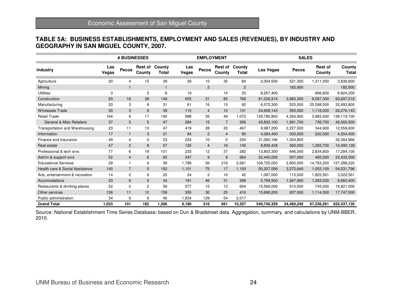### **TABLE 5A: BUSINESS ESTABLISHMENTS, EMPLOYMENT AND SALES (REVENUES), BY INDUSTRY AND GEOGRAPHY IN SAN MIGUEL COUNTY, 2007.**

|                                     | # BUSINESSES |                |                          |                 |              | <b>EMPLOYMENT</b> |                          |                        |             | <b>SALES</b> |                          |                        |  |
|-------------------------------------|--------------|----------------|--------------------------|-----------------|--------------|-------------------|--------------------------|------------------------|-------------|--------------|--------------------------|------------------------|--|
| <b>Industry</b>                     | Las<br>Vegas | Pecos          | <b>Rest of</b><br>County | County<br>Total | Las<br>Vegas | <b>Pecos</b>      | <b>Rest of</b><br>County | County<br><b>Total</b> | Las Vegas   | Pecos        | <b>Rest of</b><br>County | County<br><b>Total</b> |  |
| Agriculture                         | 20           | 4              | 15                       | 39              | 39           | 10                | 35                       | 84                     | 2,004,500   | 521,300      | 1,311,000                | 3,836,800              |  |
| Mining                              |              |                |                          | 1               |              | $\overline{c}$    |                          | $\overline{c}$         |             | 182,900      |                          | 182,900                |  |
| <b>Utilities</b>                    | 3            |                | 5                        | 8               | 19           |                   | 14                       | 33                     | 8,257,400   |              | 666,800                  | 8,924,200              |  |
| Construction                        | 93           | 18             | 38                       | 149             | 655          | 31                | 80                       | 766                    | 81,226,916  | 3,883,300    | 8,587,300                | 93,697,516             |  |
| Manufacturing                       | 20           | 3              | 8                        | 31              | 61           | 16                | 15                       | 92                     | 6,570,300   | 525,000      | 25,598,500               | 32,693,800             |  |
| <b>Wholesale Trade</b>              | 30           | 3              | 6                        | 39              | 115          | $\overline{4}$    | 12                       | 131                    | 24,608,143  | 550,000      | 1,118,000                | 26,276,143             |  |
| <b>Retail Trade</b>                 | 164          | 9              | 17                       | 190             | 988          | 35                | 49                       | 1.072                  | 129,780,800 | 4,354,900    | 3,983,400                | 138,119,100            |  |
| <b>General &amp; Misc Retailers</b> | 37           | 5              | 5                        | 47              | 284          | 15                | $\overline{7}$           | 306                    | 43,832,100  | 1,991,700    | 736,700                  | 46,560,500             |  |
| Transportation and Warehousing      | 23           | 11             | 13                       | 47              | 419          | 28                | 20                       | 467                    | 9,987,200   | 2,227,500    | 344,900                  | 12,559,600             |  |
| Information                         | 17           | $\mathbf{1}$   | 3                        | 21              | 84           | $\overline{2}$    | $\overline{4}$           | 90                     | 4,084,400   | 200,000      | 220,000                  | 4,504,400              |  |
| Finance and Insurance               | 49           | $\overline{4}$ | 0                        | 53              | 224          | 10                | $\mathbf 0$              | 234                    | 31,060,166  | 1,304,800    |                          | 32,364,966             |  |
| Real estate                         | 47           | 2              | 8                        | 57              | 125          | $\overline{4}$    | 16                       | 145                    | 8,836,428   | 360,000      | 1,293,700                | 10,490,128             |  |
| Professional & tech srvs            | 77           | 6              | 18                       | 101             | 233          | 12                | 37                       | 282                    | 13,803,300  | 646,000      | 2,834,800                | 17,284,100             |  |
| Admin & support svrs                | 52           | $\overline{4}$ | 6                        | 62              | 347          | 9                 | 8                        | 364                    | 22,440,000  | 507,000      | 485,000                  | 23,432,000             |  |
| <b>Educational Services</b>         | 29           |                | 9                        | 39              | 1,789        | 56                | 216                      | 2,061                  | 109,725,020 | 2,800,000    | 14,763,200               | 127,288,220            |  |
| Health care & Social Assistance     | 140          | $\overline{7}$ | 5                        | 152             | 1,101        | 75                | 17                       | 1,193                  | 50,207,056  | 3,272,640    | 1,052,100                | 54,531,796             |  |
| Arts, entertainment & recreation    | 14           | 2              | 6                        | 22              | 24           | $\overline{c}$    | 16                       | 42                     | 1,087,000   | 110,000      | 1,825,561                | 3,022,561              |  |
| Accomodations                       | 23           | 6              | 5                        | 34              | 191          | 46                | 31                       | 268                    | 5,799,500   | 1,567,900    | 1,293,000                | 8,660,400              |  |
| Restaurants & drinking places       | 52           | 2              | $\overline{c}$           | 56              | 577          | 15                | 12                       | 604                    | 15,566,000  | 510,000      | 745,000                  | 16,821,000             |  |
| Other services                      | 136          | 11             | 12                       | 159             | 355          | 30                | 25                       | 410                    | 15,696,200  | 937,000      | 1,114,300                | 17,747,500             |  |
| Public administration               | 34           | 6              | 6                        | 46              | 1,834        | 129               | 54                       | 2,017                  |             |              |                          |                        |  |
| <b>Grand Total</b>                  | 1,023        | 101            | 182                      | 1,306           | 9,180        | 516               | 661                      | 10,357                 | 540,740,329 | 24,460,240   | 67,236,561               | 632,437,130            |  |

Source: National Establishment Time Series Database; based on Dun & Bradstreet data. Aggregation, summary, and calculations by UNM-BBER, 2010.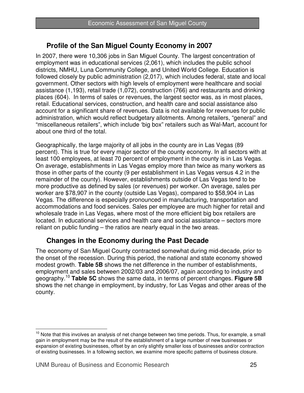## **Profile of the San Miguel County Economy in 2007**

In 2007, there were 10,306 jobs in San Miguel County. The largest concentration of employment was in educational services (2,061), which includes the public school districts, NMHU, Luna Community College, and United World College. Education is followed closely by public administration (2,017), which includes federal, state and local government. Other sectors with high levels of employment were healthcare and social assistance (1,193), retail trade (1,072), construction (766) and restaurants and drinking places (604). In terms of sales or revenues, the largest sector was, as in most places, retail. Educational services, construction, and health care and social assistance also account for a significant share of revenues. Data is not available for revenues for public administration, which would reflect budgetary allotments. Among retailers, "general" and "miscellaneous retailers", which include 'big box" retailers such as Wal-Mart, account for about one third of the total.

Geographically, the large majority of all jobs in the county are in Las Vegas (89 percent). This is true for every major sector of the county economy. In all sectors with at least 100 employees, at least 70 percent of employment in the county is in Las Vegas. On average, establishments in Las Vegas employ more than twice as many workers as those in other parts of the county (9 per establishment in Las Vegas versus 4.2 in the remainder of the county). However, establishments outside of Las Vegas tend to be more productive as defined by sales (or revenues) per worker. On average, sales per worker are \$78,907 in the county (outside Las Vegas), compared to \$58,904 in Las Vegas. The difference is especially pronounced in manufacturing, transportation and accommodations and food services. Sales per employee are much higher for retail and wholesale trade in Las Vegas, where most of the more efficient big box retailers are located. In educational services and health care and social assistance – sectors more reliant on public funding – the ratios are nearly equal in the two areas.

## **Changes in the Economy during the Past Decade**

The economy of San Miguel County contracted somewhat during mid-decade, prior to the onset of the recession. During this period, the national and state economy showed modest growth. **Table 5B** shows the net difference in the number of establishments, employment and sales between 2002/03 and 2006/07, again according to industry and geography.<sup>10</sup> **Table 5C** shows the same data, in terms of percent changes. **Figure 5B** shows the net change in employment, by industry, for Las Vegas and other areas of the county.

 $\overline{1}$ <sup>10</sup> Note that this involves an analysis of net change between two time periods. Thus, for example, a small gain in employment may be the result of the establishment of a large number of new businesses or expansion of existing businesses, offset by an only slightly smaller loss of businesses and/or contraction of existing businesses. In a following section, we examine more specific patterns of business closure.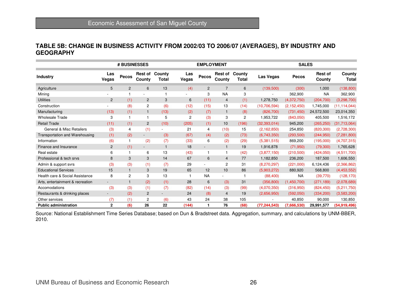## **TABLE 5B: CHANGE IN BUSINESS ACTIVITY FROM 2002/03 TO 2006/07 (AVERAGES), BY INDUSTRY AND GEOGRAPHY**

|                                     | # BUSINESSES             |                |                          |                 |                | <b>EMPLOYMENT</b>        |                          |                        |                | <b>SALES</b>  |                   |                 |  |
|-------------------------------------|--------------------------|----------------|--------------------------|-----------------|----------------|--------------------------|--------------------------|------------------------|----------------|---------------|-------------------|-----------------|--|
| <b>Industry</b>                     | Las<br>Vegas             | <b>Pecos</b>   | Rest of<br>County        | County<br>Total | Las<br>Vegas   | Pecos                    | <b>Rest of</b><br>County | County<br><b>Total</b> | Las Vegas      | Pecos         | Rest of<br>County | County<br>Total |  |
| Agriculture                         | 5                        | $\overline{2}$ | 6                        | 13              | (4)            | $\overline{2}$           | $\overline{7}$           | 6                      | (139,500)      | (300)         | 1,000             | (138, 800)      |  |
| Mining                              |                          |                | $\blacksquare$           | 1               |                | 3                        | <b>NA</b>                | 3                      |                | 362,900       | <b>NA</b>         | 362,900         |  |
| <b>Utilities</b>                    | $\overline{c}$           | (1)            | $\overline{c}$           | 3               | 6              | (11)                     | $\overline{4}$           | (1)                    | 1,278,750      | (4,372,750)   | (204, 700)        | (3,298,700)     |  |
| Construction                        |                          | (8)            | 2                        | (6)             | (12)           | (15)                     | 13                       | (14)                   | (10,706,594)   | (2, 152, 450) | 1,745,000         | (11, 114, 044)  |  |
| Manufacturing                       | (13)                     | (1)            | $\mathbf{1}$             | (13)            | (2)            | (7)                      | $\mathbf{1}$             | (8)                    | (826, 700)     | (731, 450)    | 24,572,500        | 23,014,350      |  |
| <b>Wholesale Trade</b>              | 3                        |                | 1                        | 5               | $\overline{2}$ | (3)                      | 3                        | $\overline{2}$         | 1,953,722      | (843,050)     | 405,500           | 1,516,172       |  |
| <b>Retail Trade</b>                 | (11)                     | (1)            | 2                        | (10)            | (205)          | (1)                      | 10                       | (196)                  | (32, 393, 014) | 945,200       | (265, 250)        | (31,713,064)    |  |
| <b>General &amp; Misc Retailers</b> | (3)                      | 4              | (1)                      | ٠               | 21             | 4                        | (10)                     | 15                     | (2, 162, 850)  | 254,850       | (820, 300)        | (2,728,300)     |  |
| Transportation and Warehousing      | (1)                      | (2)            | $\overline{\phantom{a}}$ | (3)             | (67)           | (4)                      | (2)                      | (73)                   | (6,743,350)    | (293, 500)    | (244,950)         | (7,281,800)     |  |
| Information                         | (6)                      | 1              | (2)                      | (7)             | (33)           | 6                        | (2)                      | (29)                   | (5,381,515)    | 869,200       | (195,000)         | (4,707,315)     |  |
| Finance and Insurance               | $\overline{c}$           | (1)            | $\overline{\phantom{a}}$ | $\mathbf{1}$    | 18             | $\overline{\phantom{a}}$ | $\mathbf{1}$             | 19                     | 1,916,878      | (71, 950)     | (79,300)          | 1,765,628       |  |
| Real estate                         | 6                        |                | 6                        | 13              | (43)           | $\mathbf{1}$             | -1                       | (42)                   | (3,877,150)    | (210, 500)    | (424,050)         | (4,511,700)     |  |
| Professional & tech srvs            | 8                        | 3              | 3                        | 14              | 67             | 6                        | $\overline{4}$           | 77                     | 1,182,850      | 236,200       | 187,500           | 1,606,550       |  |
| Admin & support svrs                | (3)                      | (3)            | (1)                      | (7)             | 29             |                          | $\overline{c}$           | 31                     | (8,270,297)    | (221,000)     | 6,124,436         | (2,366,862)     |  |
| <b>Educational Services</b>         | 15                       |                | 3                        | 19              | 65             | 12                       | 10                       | 86                     | (5,903,272)    | 880,920       | 568,800           | (4,453,552)     |  |
| Health care & Social Assistance     | 8                        | $\overline{c}$ | 3                        | 13              |                | <b>NA</b>                |                          | 1                      | (88, 400)      | <b>NA</b>     | (39,770)          | (128, 170)      |  |
| Arts, entertainment & recreation    | $\overline{\phantom{a}}$ |                | (2)                      | (1)             | 28             | 6                        | (3)                      | 31                     | (356, 800)     | (1,450,700)   | (271, 189)        | (2,078,689)     |  |
| Accomodations                       | (3)                      | (3)            | (1)                      | (7)             | (82)           | (14)                     | (3)                      | (99)                   | (4,070,350)    | (316,950)     | (824, 450)        | (5,211,750)     |  |
| Restaurants & drinking places       | $\overline{\phantom{a}}$ | (2)            | $\overline{c}$           |                 | 24             | (8)                      | $\overline{4}$           | 19                     | (2,656,950)    | (592,050)     | (334, 200)        | (3,583,200)     |  |
| Other services                      | (7)                      | (1)            | 2                        | (6)             | 43             | 24                       | 38                       | 105                    |                | 40,850        | 90,000            | 130,850         |  |
| <b>Public administration</b>        | 2                        | (6)            | 26                       | 22              | (144)          | 1                        | 76                       | (68)                   | (77, 244, 543) | (7,666,530)   | 29,991,577        | (54,919,496)    |  |

Source: National Establishment Time Series Database; based on Dun & Bradstreet data. Aggregation, summary, and calculations by UNM-BBER, 2010.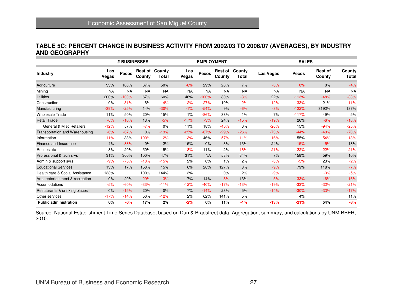#### **TABLE 5C: PERCENT CHANGE IN BUSINESS ACTIVITY FROM 2002/03 TO 2006/07 (AVERAGES), BY INDUSTRY AND GEOGRAPHY**

|                                     | # BUSINESSES |           |                          |                 |              | <b>EMPLOYMENT</b> |                          |                 |           | <b>SALES</b> |                          |                        |  |
|-------------------------------------|--------------|-----------|--------------------------|-----------------|--------------|-------------------|--------------------------|-----------------|-----------|--------------|--------------------------|------------------------|--|
| <b>Industry</b>                     | Las<br>Vegas | Pecos     | <b>Rest of</b><br>County | County<br>Total | Las<br>Vegas | Pecos             | <b>Rest of</b><br>County | County<br>Total | Las Vegas | <b>Pecos</b> | <b>Rest of</b><br>County | County<br><b>Total</b> |  |
| Agriculture                         | 33%          | 100%      | 67%                      | 50%             | $-8%$        | 29%               | 28%                      | 7%              | $-8%$     | 0%           | 0%                       | $-4%$                  |  |
| Mining                              | <b>NA</b>    | <b>NA</b> | <b>NA</b>                | <b>NA</b>       | <b>NA</b>    | <b>NA</b>         | <b>NA</b>                | <b>NA</b>       | <b>NA</b> | <b>NA</b>    | <b>NA</b>                | <b>NA</b>              |  |
| <b>Utilities</b>                    | 200%         | $-100%$   | 67%                      | 60%             | 46%          | $-100%$           | 80%                      | $-3%$           | 22%       | $-113%$      | $-48%$                   | $-33%$                 |  |
| Construction                        | 0%           | $-31%$    | 6%                       | $-4%$           | $-2%$        | $-27%$            | 19%                      | $-2%$           | $-12%$    | $-33%$       | 21%                      | $-11%$                 |  |
| Manufacturing                       | $-39%$       | $-25%$    | 14%                      | $-30%$          | $-1%$        | $-54%$            | 9%                       | $-6%$           | $-8%$     | $-122%$      | 3192%                    | 187%                   |  |
| <b>Wholesale Trade</b>              | 11%          | 50%       | 20%                      | 15%             | $1\%$        | $-86%$            | 38%                      | 1%              | 7%        | $-117%$      | 49%                      | 5%                     |  |
| <b>Retail Trade</b>                 | $-6%$        | $-10%$    | 13%                      | $-5%$           | $-17%$       | $-3%$             | 24%                      | $-15%$          | $-19%$    | 26%          | $-6%$                    | $-18%$                 |  |
| <b>General &amp; Misc Retailers</b> | $-12%$       | 57%       | $-7%$                    | 0%              | 11%          | 18%               | $-45%$                   | 6%              | $-26%$    | 15%          | $-94%$                   | $-25%$                 |  |
| Transportation and Warehousing      | $-6%$        | $-67%$    | 0%                       | $-13%$          | $-25%$       | $-67%$            | $-29%$                   | $-26%$          | $-73%$    | $-44%$       | $-40%$                   | $-70%$                 |  |
| Information                         | $-11%$       | 33%       | $-100%$                  | $-12%$          | $-13%$       | 46%               | $-57%$                   | $-11%$          | $-16%$    | 55%          | $-54%$                   | $-13%$                 |  |
| Finance and Insurance               | 4%           | $-33%$    | 0%                       | 2%              | 15%          | 0%                | 3%                       | 13%             | 24%       | $-15%$       | $-5%$                    | 18%                    |  |
| Real estate                         | 8%           | 20%       | 50%                      | 15%             | $-18%$       | 11%               | 2%                       | $-16%$          | $-21%$    | $-22%$       | $-22%$                   | $-21%$                 |  |
| Professional & tech srvs            | 31%          | 300%      | 100%                     | 47%             | 31%          | <b>NA</b>         | 58%                      | 34%             | 7%        | 158%         | 59%                      | 10%                    |  |
| Admin & support svrs                | $-9%$        | $-75%$    | $-10%$                   | $-15%$          | 2%           | 0%                | 1%                       | 2%              | $-8%$     | $-5%$        | 23%                      | $-2%$                  |  |
| <b>Educational Services</b>         | 13%          | 17%       | 150%                     | 15%             | 6%           | 28%               | 127%                     | 8%              | $-9%$     | 79%          | 118%                     | $-7%$                  |  |
| Health care & Social Assistance     | 133%         |           | 100%                     | 144%            | 3%           |                   | 0%                       | 2%              | $-9%$     |              | $-3%$                    | $-5%$                  |  |
| Arts, entertainment & recreation    | 0%           | 20%       | $-29%$                   | $-3%$           | 17%          | 14%               | $-8%$                    | 13%             | $-5%$     | $-33%$       | $-16%$                   | $-16%$                 |  |
| Accomodations                       | $-5%$        | $-60%$    | $-33%$                   | $-11%$          | $-12%$       | $-40%$            | $-17%$                   | $-13%$          | $-19%$    | $-33%$       | $-32%$                   | $-21%$                 |  |
| Restaurants & drinking places       | 0%           | $-15%$    | 20%                      | 0%              | 7%           | $-14%$            | 23%                      | 5%              | $-14%$    | $-30%$       | $-33%$                   | $-17%$                 |  |
| Other services                      | $-17%$       | $-14%$    | 50%                      | $-12%$          | 2%           | 62%               | 141%                     | 5%              |           | 4%           |                          | 11%                    |  |
| <b>Public administration</b>        | 0%           | $-6%$     | 17%                      | 2%              | $-2%$        | $0\%$             | 11%                      | $-1%$           | $-13%$    | $-21%$       | 54%                      | $-8%$                  |  |

Source: National Establishment Time Series Database; based on Dun & Bradstreet data. Aggregation, summary, and calculations by UNM-BBER, 2010.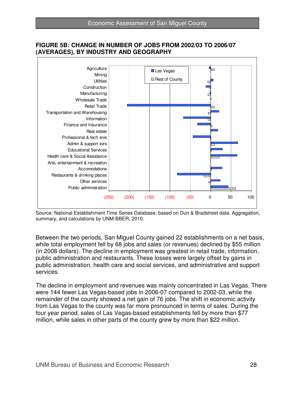

#### **FIGURE 5B: CHANGE IN NUMBER OF JOBS FROM 2002/03 TO 2006/07 (AVERAGES), BY INDUSTRY AND GEOGRAPHY**

Source: National Establishment Time Series Database; based on Dun & Bradstreet data. Aggregation, summary, and calculations by UNM-BBER, 2010.

Between the two periods, San Miguel County gained 22 establishments on a net basis, while total employment fell by 68 jobs and sales (or revenues) declined by \$55 million (in 2008 dollars). The decline in employment was greatest in retail trade, information, public administration and restaurants. These losses were largely offset by gains in public administration, health care and social services, and administrative and support services.

The decline in employment and revenues was mainly concentrated in Las Vegas. There were 144 fewer Las Vegas-based jobs in 2006-07 compared to 2002-03, while the remainder of the county showed a net gain of 76 jobs. The shift in economic activity from Las Vegas to the county was far more pronounced in terms of sales. During the four year period, sales of Las Vegas-based establishments fell by more than \$77 million, while sales in other parts of the county grew by more than \$22 million.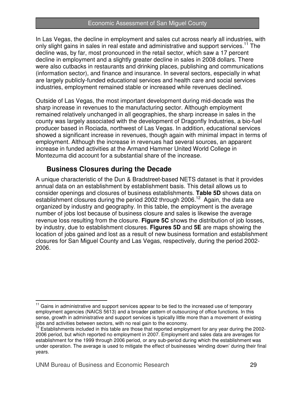#### Economic Assessment of San Miguel County

In Las Vegas, the decline in employment and sales cut across nearly all industries, with only slight gains in sales in real estate and administrative and support services.<sup>11</sup> The decline was, by far, most pronounced in the retail sector, which saw a 17 percent decline in employment and a slightly greater decline in sales in 2008 dollars. There were also cutbacks in restaurants and drinking places, publishing and communications (information sector), and finance and insurance. In several sectors, especially in what are largely publicly-funded educational services and health care and social services industries, employment remained stable or increased while revenues declined.

Outside of Las Vegas, the most important development during mid-decade was the sharp increase in revenues to the manufacturing sector. Although employment remained relatively unchanged in all geographies, the sharp increase in sales in the county was largely associated with the development of Dragonfly Industries, a bio-fuel producer based in Rociada, northwest of Las Vegas. In addition, educational services showed a significant increase in revenues, though again with minimal impact in terms of employment. Although the increase in revenues had several sources, an apparent increase in funded activities at the Armand Hammer United World College in Montezuma did account for a substantial share of the increase.

## **Business Closures during the Decade**

A unique characteristic of the Dun & Bradstreet-based NETS dataset is that it provides annual data on an establishment by establishment basis. This detail allows us to consider openings and closures of business establishments. **Table 5D** shows data on establishment closures during the period 2002 through 2006.<sup>12</sup> Again, the data are organized by industry and geography. In this table, the employment is the average number of jobs lost because of business closure and sales is likewise the average revenue loss resulting from the closure. **Figure 5C** shows the distribution of job losses, by industry, due to establishment closures. **Figures 5D** and **5E** are maps showing the location of jobs gained and lost as a result of new business formation and establishment closures for San Miguel County and Las Vegas, respectively, during the period 2002- 2006.

 $\overline{\phantom{a}}$  $11$  Gains in administrative and support services appear to be tied to the increased use of temporary employment agencies (NAICS 5613) and a broader pattern of outsourcing of office functions. In this sense, growth in administrative and support services is typically little more than a movement of existing jobs and activities between sectors, with no real gain to the economy.

<sup>&</sup>lt;sup>12</sup> Establishments included in this table are those that reported employment for any year during the 2002-2006 period, but which reported no employment in 2007. Employment and sales data are averages for establishment for the 1999 through 2006 period, or any sub-period during which the establishment was under operation. The average is used to mitigate the effect of businesses 'winding down' during their final years.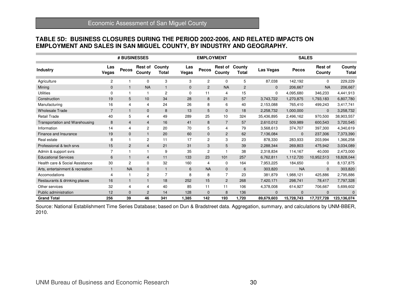# **TABLE 5D: BUSINESS CLOSURES DURING THE PERIOD 2002-2006, AND RELATED IMPACTS ON EMPLOYMENT AND SALES IN SAN MIGUEL COUNTY, BY INDUSTRY AND GEOGRAPHY.**

|                                  | # BUSINESSES   |                |                          |                 |              | <b>EMPLOYMENT</b> |                          |                        |              | <b>SALES</b> |                          |                        |  |
|----------------------------------|----------------|----------------|--------------------------|-----------------|--------------|-------------------|--------------------------|------------------------|--------------|--------------|--------------------------|------------------------|--|
| <b>Industry</b>                  | Las<br>Vegas   | Pecos          | <b>Rest of</b><br>County | County<br>Total | Las<br>Vegas | Pecos             | <b>Rest of</b><br>County | County<br><b>Total</b> | Las Vegas    | <b>Pecos</b> | <b>Rest of</b><br>County | County<br><b>Total</b> |  |
| Agriculture                      | $\overline{c}$ |                | 0                        | 3               | 3            | $\overline{c}$    | $\mathbf 0$              | 5                      | 87,038       | 142,192      | $\Omega$                 | 229,229                |  |
| Mining                           | $\mathbf 0$    |                | <b>NA</b>                | $\mathbf{1}$    | $\mathbf{0}$ | $\overline{c}$    | <b>NA</b>                | $\overline{c}$         | $\mathbf{0}$ | 206,667      | <b>NA</b>                | 206,667                |  |
| <b>Utilities</b>                 | $\Omega$       |                | 1                        | 2               | $\Omega$     | 11                | $\overline{4}$           | 15                     | $\mathbf{0}$ | 4,095,680    | 346,233                  | 4,441,913              |  |
| Construction                     | 19             | 5              | 10                       | 34              | 28           | 8                 | 21                       | 57                     | 3,743,722    | 1,270,875    | 1,793,183                | 6,807,780              |  |
| Manufacturing                    | 16             | 4              | 4                        | 24              | 26           | 8                 | 6                        | 40                     | 2,153,088    | 765,410      | 499,243                  | 3,417,741              |  |
| <b>Wholesale Trade</b>           | $\overline{7}$ |                | 0                        | 8               | 13           | 5                 | $\mathbf 0$              | 18                     | 2,258,732    | 1,000,000    | $\mathbf{0}$             | 3,258,732              |  |
| <b>Retail Trade</b>              | 40             | 5              | 4                        | 49              | 289          | 25                | 10                       | 324                    | 35,436,895   | 2,496,162    | 970,500                  | 38,903,557             |  |
| Transportation and Warehousing   | 8              | $\overline{4}$ | $\overline{4}$           | 16              | 41           | 8                 | $\overline{7}$           | 57                     | 2,610,012    | 509,989      | 600,543                  | 3,720,545              |  |
| Information                      | 14             | 4              | 2                        | 20              | 70           | 5                 | 4                        | 79                     | 3,568,613    | 374,707      | 397,300                  | 4,340,619              |  |
| Finance and Insurance            | 19             | $\mathbf{0}$   | $\mathbf{1}$             | 20              | 60           | $\mathbf 0$       | 2                        | 62                     | 7,136,084    | $\Omega$     | 237,306                  | 7,373,390              |  |
| Real estate                      | 8              |                | 2                        | 11              | 17           | $\overline{c}$    | 3                        | 23                     | 878,330      | 283,933      | 203,994                  | 1,366,258              |  |
| Professional & tech srvs         | 15             | $\overline{2}$ | $\overline{4}$           | 21              | 31           | 3                 | 5                        | 39                     | 2,288,344    | 269,803      | 475,942                  | 3,034,089              |  |
| Admin & support svrs             | $\overline{7}$ |                | 1                        | 9               | 35           | $\overline{2}$    | 1                        | 38                     | 2,318,834    | 114,167      | 40,000                   | 2,473,000              |  |
| <b>Educational Services</b>      | 6              |                | $\overline{4}$           | 11              | 133          | 23                | 101                      | 257                    | 6,762,811    | 1,112,720    | 10,952,513               | 18,828,044             |  |
| Health care & Social Assistance  | 30             | $\overline{2}$ | $\mathbf 0$              | 32              | 160          | 4                 | $\mathbf 0$              | 164                    | 7,953,225    | 184,650      | $\mathbf 0$              | 8,137,875              |  |
| Arts, entertainment & recreation | $\mathbf{1}$   | <b>NA</b>      | $\mathbf{0}$             | $\mathbf{1}$    | 6            | <b>NA</b>         | $\mathbf 0$              | 6                      | 303,820      | <b>NA</b>    | $\mathbf{0}$             | 303,820                |  |
| Accomodations                    | $\overline{4}$ |                | $\overline{c}$           | $\overline{7}$  | 8            | 8                 | $\overline{7}$           | 23                     | 381,879      | 1,988,121    | 425,886                  | 2,795,886              |  |
| Restaurants & drinking places    | 16             |                | 1                        | 18              | 252          | 15                | 2                        | 268                    | 7,420,171    | 298,741      | 78,417                   | 7,797,328              |  |
| Other services                   | 32             | 4              | 4                        | 40              | 85           | 11                | 11                       | 106                    | 4,378,008    | 614,927      | 706,667                  | 5,699,602              |  |
| Public administration            | 12             | $\Omega$       | $\overline{2}$           | 14              | 128          | $\mathbf{0}$      | 8                        | 136                    | $\Omega$     | $\Omega$     | $\Omega$                 | $\mathbf{0}$           |  |
| <b>Grand Total</b>               | 256            | 39             | 46                       | 341             | 1,385        | 142               | 193                      | 1,720                  | 89,679,603   | 15,728,743   | 17,727,728               | 123,136,074            |  |

Source: National Establishment Time Series Database; based on Dun & Bradstreet data. Aggregation, summary, and calculations by UNM-BBER, 2010.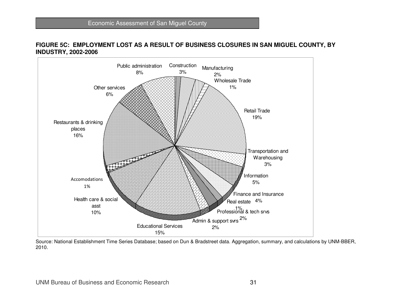#### **FIGURE 5C: EMPLOYMENT LOST AS A RESULT OF BUSINESS CLOSURES IN SAN MIGUEL COUNTY, BY INDUSTRY, 2002-2006**



 Source: National Establishment Time Series Database; based on Dun & Bradstreet data. Aggregation, summary, and calculations by UNM-BBER, 2010.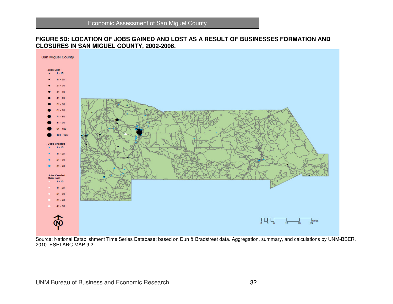

#### **FIGURE 5D: LOCATION OF JOBS GAINED AND LOST AS A RESULT OF BUSINESSES FORMATION AND CLOSURES IN SAN MIGUEL COUNTY, 2002-2006.**

Source: National Establishment Time Series Database; based on Dun & Bradstreet data. Aggregation, summary, and calculations by UNM-BBER, 2010. ESRI ARC MAP 9.2.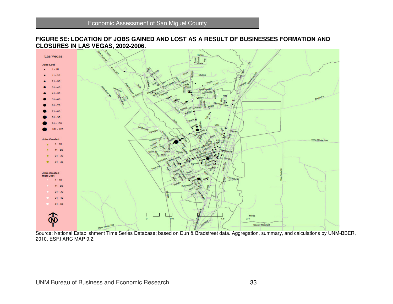

**FIGURE 5E: LOCATION OF JOBS GAINED AND LOST AS A RESULT OF BUSINESSES FORMATION AND CLOSURES IN LAS VEGAS, 2002-2006.** 

Source: National Establishment Time Series Database; based on Dun & Bradstreet data. Aggregation, summary, and calculations by UNM-BBER, 2010. ESRI ARC MAP 9.2.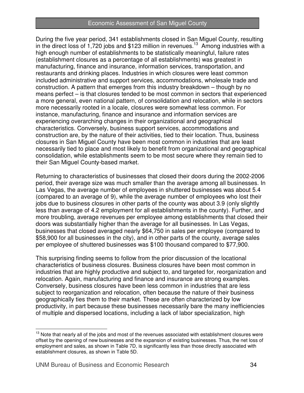#### Economic Assessment of San Miguel County

During the five year period, 341 establishments closed in San Miguel County, resulting in the direct loss of 1,720 jobs and \$123 million in revenues.<sup>13</sup> Among industries with a high enough number of establishments to be statistically meaningful, failure rates (establishment closures as a percentage of all establishments) was greatest in manufacturing, finance and insurance, information services, transportation, and restaurants and drinking places. Industries in which closures were least common included administrative and support services, accommodations, wholesale trade and construction. A pattern that emerges from this industry breakdown – though by no means perfect – is that closures tended to be most common in sectors that experienced a more general, even national pattern, of consolidation and relocation, while in sectors more necessarily rooted in a locale, closures were somewhat less common. For instance, manufacturing, finance and insurance and information services are experiencing overarching changes in their organizational and geographical characteristics. Conversely, business support services, accommodations and construction are, by the nature of their activities, tied to their location. Thus, business closures in San Miguel County have been most common in industries that are least necessarily tied to place and most likely to benefit from organizational and geographical consolidation, while establishments seem to be most secure where they remain tied to their San Miguel County-based market.

Returning to characteristics of businesses that closed their doors during the 2002-2006 period, their average size was much smaller than the average among all businesses. In Las Vegas, the average number of employees in shuttered businesses was about 5.4 (compared to an average of 9), while the average number of employees who lost their jobs due to business closures in other parts of the county was about 3.9 (only slightly less than average of 4.2 employment for all establishments in the county). Further, and more troubling, average revenues per employee among establishments that closed their doors was substantially higher than the average for all businesses. In Las Vegas, businesses that closed averaged nearly \$64,750 in sales per employee (compared to \$58,900 for all businesses in the city), and in other parts of the county, average sales per employee of shuttered businesses was \$100 thousand compared to \$77,900.

This surprising finding seems to follow from the prior discussion of the locational characteristics of business closures. Business closures have been most common in industries that are highly productive and subject to, and targeted for, reorganization and relocation. Again, manufacturing and finance and insurance are strong examples. Conversely, business closures have been less common in industries that are less subject to reorganization and relocation, often because the nature of their business geographically ties them to their market. These are often characterized by low productivity, in part because these businesses necessarily bare the many inefficiencies of multiple and dispersed locations, including a lack of labor specialization, high

 $\overline{a}$  $13$  Note that nearly all of the jobs and most of the revenues associated with establishment closures were offset by the opening of new businesses and the expansion of existing businesses. Thus, the net loss of employment and sales, as shown in Table 7D, is significantly less than those directly associated with establishment closures, as shown in Table 5D.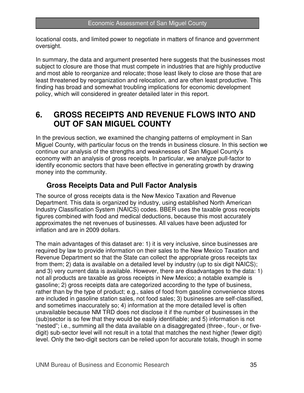locational costs, and limited power to negotiate in matters of finance and government oversight.

In summary, the data and argument presented here suggests that the businesses most subject to closure are those that must compete in industries that are highly productive and most able to reorganize and relocate; those least likely to close are those that are least threatened by reorganization and relocation, and are often least productive. This finding has broad and somewhat troubling implications for economic development policy, which will considered in greater detailed later in this report.

## **6. GROSS RECEIPTS AND REVENUE FLOWS INTO AND OUT OF SAN MIGUEL COUNTY**

In the previous section, we examined the changing patterns of employment in San Miguel County, with particular focus on the trends in business closure. In this section we continue our analysis of the strengths and weaknesses of San Miguel County's economy with an analysis of gross receipts. In particular, we analyze pull-factor to identify economic sectors that have been effective in generating growth by drawing money into the community.

## **Gross Receipts Data and Pull Factor Analysis**

The source of gross receipts data is the New Mexico Taxation and Revenue Department. This data is organized by industry, using established North American Industry Classification System (NAICS) codes. BBER uses the taxable gross receipts figures combined with food and medical deductions, because this most accurately approximates the net revenues of businesses. All values have been adjusted for inflation and are in 2009 dollars.

The main advantages of this dataset are: 1) it is very inclusive, since businesses are required by law to provide information on their sales to the New Mexico Taxation and Revenue Department so that the State can collect the appropriate gross receipts tax from them; 2) data is available on a detailed level by industry (up to six digit NAICS); and 3) very current data is available. However, there are disadvantages to the data: 1) not all products are taxable as gross receipts in New Mexico; a notable example is gasoline; 2) gross receipts data are categorized according to the type of business, rather than by the type of product; e.g., sales of food from gasoline convenience stores are included in gasoline station sales, not food sales; 3) businesses are self-classified, and sometimes inaccurately so; 4) information at the more detailed level is often unavailable because NM TRD does not disclose it if the number of businesses in the (sub)sector is so few that they would be easily identifiable; and 5) information is not "nested"; i.e., summing all the data available on a disaggregated (three-, four-, or fivedigit) sub-sector level will not result in a total that matches the next higher (fewer digit) level. Only the two-digit sectors can be relied upon for accurate totals, though in some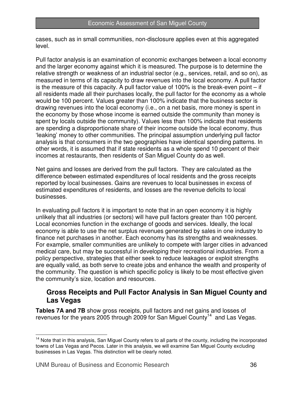cases, such as in small communities, non-disclosure applies even at this aggregated level.

Pull factor analysis is an examination of economic exchanges between a local economy and the larger economy against which it is measured. The purpose is to determine the relative strength or weakness of an industrial sector (e.g., services, retail, and so on), as measured in terms of its capacity to draw revenues into the local economy. A pull factor is the measure of this capacity. A pull factor value of 100% is the break-even point – if all residents made all their purchases locally, the pull factor for the economy as a whole would be 100 percent. Values greater than 100% indicate that the business sector is drawing revenues into the local economy (i.e., on a net basis, more money is spent in the economy by those whose income is earned outside the community than money is spent by locals outside the community). Values less than 100% indicate that residents are spending a disproportionate share of their income outside the local economy, thus 'leaking' money to other communities. The principal assumption underlying pull factor analysis is that consumers in the two geographies have identical spending patterns. In other words, it is assumed that if state residents as a whole spend 10 percent of their incomes at restaurants, then residents of San Miguel County do as well.

Net gains and losses are derived from the pull factors. They are calculated as the difference between estimated expenditures of local residents and the gross receipts reported by local businesses. Gains are revenues to local businesses in excess of estimated expenditures of residents, and losses are the revenue deficits to local businesses.

In evaluating pull factors it is important to note that in an open economy it is highly unlikely that all industries (or sectors) will have pull factors greater than 100 percent. Local economies function in the exchange of goods and services. Ideally, the local economy is able to use the net surplus revenues generated by sales in one industry to finance net purchases in another. Each economy has its strengths and weaknesses. For example, smaller communities are unlikely to compete with larger cities in advanced medical care, but may be successful in developing their recreational industries. From a policy perspective, strategies that either seek to reduce leakages or exploit strengths are equally valid, as both serve to create jobs and enhance the wealth and prosperity of the community. The question is which specific policy is likely to be most effective given the community's size, location and resources.

#### **Gross Receipts and Pull Factor Analysis in San Miguel County and Las Vegas**

**Tables 7A and 7B** show gross receipts, pull factors and net gains and losses of revenues for the years 2005 through 2009 for San Miguel County<sup>14</sup> and Las Vegas.

 $\overline{\phantom{a}}$ <sup>14</sup> Note that in this analysis, San Miguel County refers to all parts of the county, including the incorporated towns of Las Vegas and Pecos. Later in this analysis, we will examine San Miguel County excluding businesses in Las Vegas. This distinction will be clearly noted.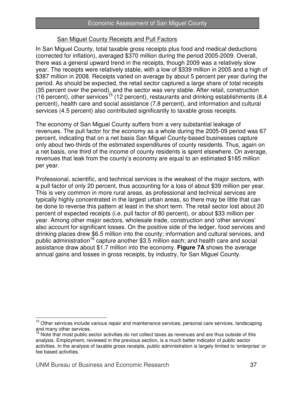#### San Miguel County Receipts and Pull Factors

In San Miguel County, total taxable gross receipts plus food and medical deductions (corrected for inflation), averaged \$370 million during the period 2005-2009. Overall, there was a general upward trend in the receipts, though 2009 was a relatively slow year. The receipts were relatively stable, with a low of \$339 million in 2005 and a high of \$387 million in 2008. Receipts varied on average by about 5 percent per year during the period. As should be expected, the retail sector captured a large share of total receipts (35 percent over the period), and the sector was very stable. After retail, construction (16 percent), other services<sup>15</sup> (12 percent), restaurants and drinking establishments (8.4 percent), health care and social assistance (7.8 percent), and information and cultural services (4.5 percent) also contributed significantly to taxable gross receipts.

The economy of San Miguel County suffers from a very substantial leakage of revenues. The pull factor for the economy as a whole during the 2005-09 period was 67 percent, indicating that on a net basis San Miguel County-based businesses capture only about two-thirds of the estimated expenditures of county residents. Thus, again on a net basis, one third of the income of county residents is spent elsewhere. On average, revenues that leak from the county's economy are equal to an estimated \$185 million per year.

Professional, scientific, and technical services is the weakest of the major sectors, with a pull factor of only 20 percent, thus accounting for a loss of about \$39 million per year. This is very common in more rural areas, as professional and technical services are typically highly concentrated in the largest urban areas, so there may be little that can be done to reverse this pattern at least in the short term. The retail sector lost about 20 percent of expected receipts (i.e. pull factor of 80 percent), or about \$33 million per year. Among other major sectors, wholesale trade, construction and 'other services' also account for significant losses. On the positive side of the ledger, food services and drinking places drew \$6.5 million into the county; information and cultural services, and public administration<sup>16</sup> capture another \$3.5 million each; and health care and social assistance draw about \$1.7 million into the economy. **Figure 7A** shows the average annual gains and losses in gross receipts, by industry, for San Miguel County.

 $\overline{\phantom{a}}$ 

<sup>&</sup>lt;sup>15</sup> Other services include various repair and maintenance services, personal care services, landscaping and many other services.

 $16$  Note that most public sector activities do not collect taxes as revenues and are thus outside of this analysis. Employment, reviewed in the previous section, is a much better indicator of public sector activities. In the analysis of taxable gross receipts, public administration is largely limited to 'enterprise' or fee based activities.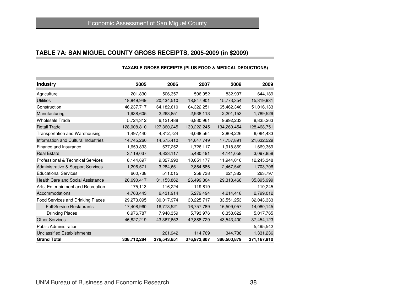## **TABLE 7A: SAN MIGUEL COUNTY GROSS RECEIPTS, 2005-2009 (in \$2009)**

| <b>Industry</b>                              | 2005        | 2006        | 2007        | 2008        | 2009        |
|----------------------------------------------|-------------|-------------|-------------|-------------|-------------|
| Agriculture                                  | 201,830     | 506,357     | 596,952     | 832,997     | 644,189     |
| <b>Utilities</b>                             | 18,849,949  | 20,434,510  | 18,847,901  | 15,773,354  | 15,319,931  |
| Construction                                 | 46,237,717  | 64,182,610  | 64,322,251  | 65,462,346  | 51,016,133  |
| Manufacturing                                | 1,938,605   | 2,263,851   | 2,938,113   | 2,201,153   | 1,789,529   |
| <b>Wholesale Trade</b>                       | 5,724,312   | 6,121,488   | 6,830,961   | 9,992,233   | 8,835,263   |
| <b>Retail Trade</b>                          | 128,008,810 | 127,360,245 | 130,222,245 | 134,260,454 | 128,468,751 |
| Transportation and Warehousing               | 1,497,440   | 4,812,724   | 6,068,564   | 2,808,226   | 6,064,433   |
| Information and Cultural Industries          | 14,745,260  | 14,575,410  | 14,647,749  | 17,757,891  | 21,632,529  |
| Finance and Insurance                        | 1,659,833   | 1,637,252   | 1,726,117   | 1,918,869   | 1,669,369   |
| <b>Real Estate</b>                           | 3,119,037   | 4,823,117   | 5,480,491   | 4,141,058   | 3,097,858   |
| <b>Professional &amp; Technical Services</b> | 8,144,697   | 9,327,990   | 10,651,177  | 11,944,016  | 12,245,348  |
| <b>Administrative &amp; Support Services</b> | 1,296,571   | 3,284,651   | 2,864,686   | 2,467,549   | 1,703,706   |
| <b>Educational Services</b>                  | 660,738     | 511,015     | 258,738     | 221,382     | 263,797     |
| <b>Health Care and Social Assistance</b>     | 20,690,417  | 31,153,862  | 26,499,304  | 29,313,468  | 35,895,999  |
| Arts, Entertainment and Recreation           | 175,113     | 116,224     | 119,819     |             | 110,245     |
| Accommodations                               | 4,763,443   | 6,431,914   | 5,279,494   | 4,214,418   | 2,799,012   |
| Food Services and Drinking Places            | 29,273,095  | 30,017,974  | 30,225,717  | 33,551,253  | 32,043,333  |
| <b>Full-Service Restaurants</b>              | 17,408,960  | 16,773,521  | 16,757,789  | 16,509,057  | 14,080,145  |
| <b>Drinking Places</b>                       | 6,976,787   | 7,948,359   | 5,793,976   | 6,358,622   | 5,017,765   |
| <b>Other Services</b>                        | 46,827,219  | 43,367,652  | 42,888,729  | 43,543,400  | 37,454,123  |
| <b>Public Administration</b>                 |             |             |             |             | 5,495,542   |
| <b>Unclassified Establishments</b>           |             | 261,942     | 114,769     | 344,738     | 1,331,236   |
| <b>Grand Total</b>                           | 338,712,284 | 376,543,651 | 376,973,807 | 386,500,879 | 371,167,910 |

#### **TAXABLE GROSS RECEIPTS (PLUS FOOD & MEDICAL DEDUCTIONS)**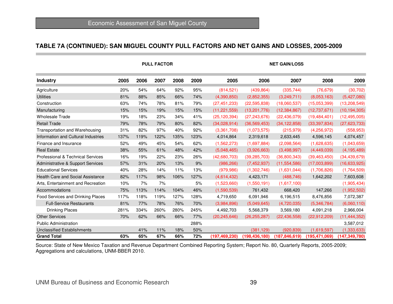#### **TABLE 7A (CONTINUED): SAN MIGUEL COUNTY PULL FACTORS AND NET GAINS AND LOSSES, 2005-2009**

|                                     |      |      | <b>PULL FACTOR</b> |      |      | <b>NET GAIN/LOSS</b> |                 |                 |                |                 |  |
|-------------------------------------|------|------|--------------------|------|------|----------------------|-----------------|-----------------|----------------|-----------------|--|
| <b>Industry</b>                     | 2005 | 2006 | 2007               | 2008 | 2009 | 2005                 | 2006            | 2007            | 2008           | 2009            |  |
| Agriculture                         | 20%  | 54%  | 64%                | 92%  | 95%  | (814, 521)           | (439, 864)      | (335, 744)      | (76.679)       | (30, 702)       |  |
| <b>Utilities</b>                    | 81%  | 88%  | 85%                | 66%  | 74%  | (4,390,850)          | (2,852,355)     | (3,249,711)     | (8,053,163)    | (5,427,080)     |  |
| Construction                        | 63%  | 74%  | 78%                | 81%  | 79%  | (27, 451, 233)       | (22, 595, 838)  | (18,060,537)    | (15.053.399)   | (13, 208, 549)  |  |
| Manufacturing                       | 15%  | 15%  | 19%                | 15%  | 15%  | (11, 221, 559)       | (13, 201, 776)  | (12, 384, 867)  | (12, 737, 671) | (10, 194, 305)  |  |
| <b>Wholesale Trade</b>              | 19%  | 18%  | 23%                | 34%  | 41%  | (25, 120, 394)       | (27, 243, 676)  | (22, 436, 079)  | (19, 484, 401) | (12, 495, 005)  |  |
| <b>Retail Trade</b>                 | 79%  | 78%  | 79%                | 80%  | 82%  | (34,028,914)         | (36, 569, 453)  | (34, 122, 858)  | (33, 397, 834) | (27, 623, 733)  |  |
| Transportation and Warehousing      | 31%  | 82%  | 97%                | 40%  | 92%  | (3,361,708)          | (1,073,575)     | (215, 979)      | (4,256,972)    | (558, 953)      |  |
| Information and Cultural Industries | 137% | 119% | 122%               | 135% | 123% | 4,014,864            | 2,319,618       | 2,633,445       | 4,596,145      | 4,074,457       |  |
| Finance and Insurance               | 52%  | 49%  | 45%                | 54%  | 62%  | (1,562,273)          | (1,697,884)     | (2,098,564)     | (1,628,635)    | (1,043,659)     |  |
| <b>Real Estate</b>                  | 38%  | 55%  | 61%                | 48%  | 42%  | (5,048,465)          | (3,926,663)     | (3,498,997)     | (4,449,039)    | (4, 195, 489)   |  |
| Professional & Technical Services   | 16%  | 19%  | 22%                | 23%  | 26%  | (42,680,703)         | (39, 285, 703)  | (36,800,343)    | (39, 463, 450) | (34, 439, 679)  |  |
| Administrative & Support Services   | 57%  | 31%  | 20%                | 13%  | 9%   | (986, 266)           | (7,452,937)     | (11, 554, 586)  | (17,003,899)   | (16,633,925)    |  |
| <b>Educational Services</b>         | 40%  | 28%  | 14%                | 11%  | 13%  | (979, 986)           | (1,302,746)     | (1,631,044)     | (1,706,826)    | (1,764,509)     |  |
| Health Care and Social Assistance   | 82%  | 117% | 98%                | 106% | 127% | (4,614,432)          | 4,423,171       | (488, 746)      | 1,642,202      | 7,603,608       |  |
| Arts, Entertainment and Recreation  | 10%  | 7%   | 7%                 |      | 5%   | (1,523,660)          | (1,550,191)     | (1,617,100)     |                | (1,905,434)     |  |
| Accommodations                      | 75%  | 113% | 114%               | 104% | 46%  | (1,590,539)          | 761,432         | 668,420         | 147,266        | (1,952,502)     |  |
| Food Services and Drinking Places   | 117% | 118% | 119%               | 127% | 128% | 4,719,650            | 6,091,946       | 6,196,515       | 8,476,856      | 7,072,387       |  |
| <b>Full-Service Restaurants</b>     | 81%  | 77%  | 78%                | 76%  | 70%  | (3,984,896)          | (5,049,645)     | (4,720,035)     | (5,346,784)    | (6,060,110)     |  |
| <b>Drinking Places</b>              | 281% | 334% | 260%               | 280% | 245% | 4,492,703            | 5,568,379       | 3,569,180       | 4,091,218      | 2,966,004       |  |
| <b>Other Services</b>               | 70%  | 62%  | 66%                | 66%  | 77%  | (20, 245, 646)       | (26, 255, 287)  | (22, 436, 558)  | (22, 912, 209) | (11, 444, 352)  |  |
| <b>Public Administration</b>        |      |      |                    |      | 288% |                      |                 |                 |                | 3,587,012       |  |
| <b>Unclassified Establishments</b>  |      | 41%  | 11%                | 18%  | 50%  |                      | (381, 129)      | (920, 839)      | (1,619,597)    | (1, 333, 633)   |  |
| <b>Grand Total</b>                  | 63%  | 65%  | 67%                | 66%  | 72%  | (197, 469, 230)      | (198, 436, 180) | (187, 846, 619) | (195,471,069)  | (147, 349, 780) |  |

Source: State of New Mexico Taxation and Revenue Department Combined Reporting System; Report No. 80, Quarterly Reports, 2005-2009; Aggregations and calculations, UNM-BBER 2010.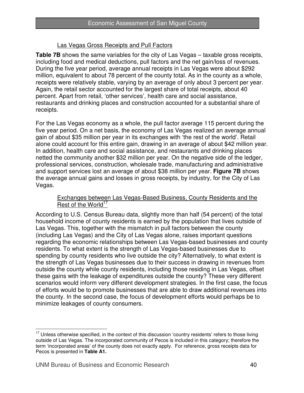#### Las Vegas Gross Receipts and Pull Factors

**Table 7B** shows the same variables for the city of Las Vegas – taxable gross receipts, including food and medical deductions, pull factors and the net gain/loss of revenues. During the five year period, average annual receipts in Las Vegas were about \$292 million, equivalent to about 78 percent of the county total. As in the county as a whole, receipts were relatively stable, varying by an average of only about 3 percent per year. Again, the retail sector accounted for the largest share of total receipts, about 40 percent. Apart from retail, 'other services', health care and social assistance, restaurants and drinking places and construction accounted for a substantial share of receipts.

For the Las Vegas economy as a whole, the pull factor average 115 percent during the five year period. On a net basis, the economy of Las Vegas realized an average annual gain of about \$35 million per year in its exchanges with 'the rest of the world'. Retail alone could account for this entire gain, drawing in an average of about \$42 million year. In addition, health care and social assistance, and restaurants and drinking places netted the community another \$32 million per year. On the negative side of the ledger, professional services, construction, wholesale trade, manufacturing and administrative and support services lost an average of about \$38 million per year. **Figure 7B** shows the average annual gains and losses in gross receipts, by industry, for the City of Las Vegas.

#### Exchanges between Las Vegas-Based Business, County Residents and the Rest of the World<sup>17</sup>

According to U.S. Census Bureau data, slightly more than half (54 percent) of the total household income of county residents is earned by the population that lives outside of Las Vegas. This, together with the mismatch in pull factors between the county (including Las Vegas) and the City of Las Vegas alone, raises important questions regarding the economic relationships between Las Vegas-based businesses and county residents. To what extent is the strength of Las Vegas-based businesses due to spending by county residents who live outside the city? Alternatively, to what extent is the strength of Las Vegas businesses due to their success in drawing in revenues from outside the county while county residents, including those residing in Las Vegas, offset these gains with the leakage of expenditures outside the county? These very different scenarios would inform very different development strategies. In the first case, the focus of efforts would be to promote businesses that are able to draw additional revenues into the county. In the second case, the focus of development efforts would perhaps be to minimize leakages of county consumers.

 $\overline{\phantom{a}}$  $17$  Unless otherwise specified, in the context of this discussion 'country residents' refers to those living outside of Las Vegas. The incorporated community of Pecos is included in this category; therefore the term 'incorporated areas' of the county does not exactly apply. For reference, gross receipts data for Pecos is presented in **Table A1.**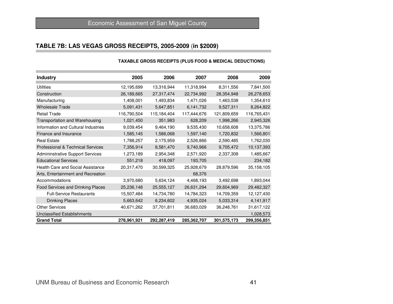#### **TABLE 7B: LAS VEGAS GROSS RECEIPTS, 2005-2009** (**in \$2009)**

#### **Industry <sup>2005</sup> <sup>2006</sup> <sup>2007</sup> <sup>2008</sup> <sup>2009</sup>Utilities**  12,195,699 13,316,944 11,318,994 8,311,556 7,841,50026,278,653 Construction 26,189,665 27,317,474 22,734,992 28,354,948 26,278,6531,354,610 Manufacturing 1,408,001 1,493,834 1,471,026 1,463,538 1,354,610 8,264,822 Wholesale Trade 5,091,431 5,647,851 6,141,732 9,527,311 Retail Trade 116,790,504 115,184,404 117,444,676 121,809,659 116,765,4312,945,326 Transportation and Warehousing  $1,021,450$   $351,983$  628,209  $1,998,266$ 13,375,786 Information and Cultural Industries  $9,039,454$   $9,464,190$   $9,535,430$  10,658,608 1,566,801 Finance and Insurance 1,585,145 1,586,068 1,597,140 1,720,832 1,762,030 Real Estate 1,788,257 2,175,959 2,526,866 2,590,485 1,762,030 9,740,966 9,705,472 10,137,393 Professional & Technical Services 7,356,914 8,581,470 Admininstrative Support Services 1,273,189 2,954,348 2,571,920 2,337,308 1,485,667234,182 Educational Services 651,218 418,097 193,705 35,158,105 Health Care and Social Assistance  $20.317,470$   $30.599,325$   $25,928,679$   $28,879,596$ Arts, Entertainment and Recreationn 68,376 Accommodations 3,970,680 5,634,124 4,468,193 3,492,698 1,893,04429,482,327 Food Services and Drinking Places 25,236,148 25,555,127 26,631,294 29,604,969 12,127,430 Full-Service Restaurants 15,507,484 14,734,780 14,784,323 14,709,359 4,141,917 Drinking Places 5,663,642 6,234,602 4,935,024 5,033,314Other Services 40,671,262 37,701,811 36,683,029 36,248,761 31,617,1221,028,573 Unclassified Establishmentss and the contract of the contract of the contract of the contract of the contract of the contract of the contract of the contract of the contract of the contract of the contract of the contract of the contract of the cont 299,356,851 **Grand Total 278,961,921 292,287,419 285,362,707 301,575,173 299,356,851**

#### **TAXABLE GROSS RECEIPTS (PLUS FOOD & MEDICAL DEDUCTIONS)**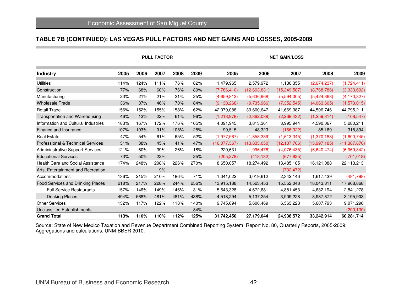#### **TABLE 7B (CONTINUED): LAS VEGAS PULL FACTORS AND NET GAINS AND LOSSES, 2005-2009**

|                                     |      |      | <b>PULL FACTOR</b> |      |      | <b>NET GAIN/LOSS</b> |              |                |              |                |  |
|-------------------------------------|------|------|--------------------|------|------|----------------------|--------------|----------------|--------------|----------------|--|
| <b>Industry</b>                     | 2005 | 2006 | 2007               | 2008 | 2009 | 2005                 | 2006         | 2007           | 2008         | 2009           |  |
| <b>Utilities</b>                    | 114% | 124% | 111%               | 76%  | 82%  | 1,479,965            | 2,579,972    | 1,130,355      | (2,674,237)  | (1,724,411)    |  |
| Construction                        | 77%  | 68%  | 60%                | 76%  | 89%  | (7,786,410)          | (12,693,831) | (15, 249, 587) | (8,768,786)  | (3,333,692)    |  |
| Manufacturing                       | 23%  | 21%  | 21%                | 21%  | 25%  | (4,659,812)          | (5,636,968)  | (5,594,005)    | (5,424,368)  | (4, 170, 827)  |  |
| <b>Wholesale Trade</b>              | 36%  | 37%  | 46%                | 70%  | 84%  | (9, 130, 268)        | (9,735,966)  | (7,352,545)    | (4,063,605)  | (1,570,015)    |  |
| <b>Retail Trade</b>                 | 156% | 152% | 155%               | 158% | 162% | 42,079,088           | 39,600,647   | 41,669,387     | 44,506,746   | 44,795,211     |  |
| Transportation and Warehousing      | 46%  | 13%  | 22%                | 61%  | 96%  | (1,218,978)          | (2,362,038)  | (2,269,432)    | (1,259,314)  | (108, 547)     |  |
| Information and Cultural Industries | 183% | 167% | 172%               | 176% | 165% | 4,091,945            | 3,813,361    | 3,995,944      | 4,590,067    | 5,280,211      |  |
| Finance and Insurance               | 107% | 103% | 91%                | 105% | 125% | 99,515               | 48,323       | (166, 322)     | 85,169       | 315,894        |  |
| <b>Real Estate</b>                  | 47%  | 54%  | 61%                | 65%  | 52%  | (1, 977, 567)        | (1,858,339)  | (1,613,345)    | (1,370,188)  | (1,600,745)    |  |
| Professional & Technical Services   | 31%  | 38%  | 45%                | 41%  | 47%  | (16,077,367)         | (13,833,050) | (12, 137, 706) | (13,997,185) | (11, 387, 870) |  |
| Admininstrative Support Services    | 121% | 60%  | 39%                | 26%  | 18%  | 220,631              | (1,996,476)  | (4,076,435)    | (6,640,474)  | (6,969,342)    |  |
| <b>Educational Services</b>         | 73%  | 50%  | 22%                |      | 25%  | (205, 278)           | (418, 182)   | (677, 625)     |              | (701, 018)     |  |
| Health Care and Social Assistance   | 174% | 248% | 208%               | 226% | 270% | 8,650,057            | 18,274,492   | 13,485,185     | 16,121,088   | 22,113,213     |  |
| Arts, Entertainment and Recreation  |      |      | 9%                 |      |      |                      |              | (732, 472)     |              |                |  |
| Accommodations                      | 136% | 215% | 210%               | 186% | 71%  | 1,041,022            | 3,019,612    | 2,342,146      | 1,617,439    | (481, 798)     |  |
| Food Services and Drinking Places   | 218% | 217% | 228%               | 244% | 256% | 13,915,188           | 14,523,453   | 15,552,048     | 18,043,811   | 17,968,868     |  |
| <b>Full-Service Restaurants</b>     | 157% | 146% | 149%               | 146% | 131% | 5,643,328            | 4,672,681    | 4,881,453      | 4,632,194    | 2,841,278      |  |
| <b>Drinking Places</b>              | 494% | 568% | 481%               | 481% | 438% | 4,518,294            | 5,137,254    | 3,909,228      | 3,987,872    | 3,195,903      |  |
| <b>Other Services</b>               | 132% | 117% | 122%               | 118% | 140% | 9,745,694            | 5,600,469    | 6,563,223      | 5,607,793    | 9,071,296      |  |
| <b>Unclassified Establishments</b>  |      |      |                    |      | 84%  |                      |              |                |              | (200, 130)     |  |
| <b>Grand Total</b>                  | 113% | 110% | 110%               | 112% | 125% | 31,742,450           | 27,179,044   | 24,938,572     | 33,242,914   | 60,281,714     |  |

Source: State of New Mexico Taxation and Revenue Department Combined Reporting System; Report No. 80, Quarterly Reports, 2005-2009; Aggregations and calculations, UNM-BBER 2010.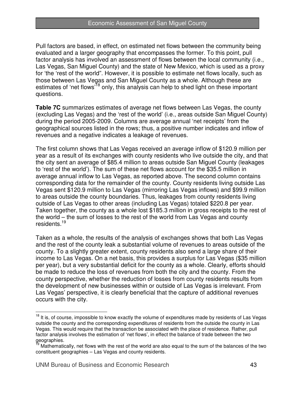Pull factors are based, in effect, on estimated net flows between the community being evaluated and a larger geography that encompasses the former. To this point, pull factor analysis has involved an assessment of flows between the local community (i.e., Las Vegas, San Miguel County) and the state of New Mexico, which is used as a proxy for 'the 'rest of the world". However, it is possible to estimate net flows locally, such as those between Las Vegas and San Miguel County as a whole. Although these are estimates of 'net flows<sup>'18</sup> only, this analysis can help to shed light on these important questions.

**Table 7C** summarizes estimates of average net flows between Las Vegas, the county (excluding Las Vegas) and the 'rest of the world' (i.e., areas outside San Miguel County) during the period 2005-2009. Columns are average annual 'net receipts' from the geographical sources listed in the rows; thus, a positive number indicates and inflow of revenues and a negative indicates a leakage of revenues.

The first column shows that Las Vegas received an average inflow of \$120.9 million per year as a result of its exchanges with county residents who live outside the city, and that the city sent an average of \$85.4 million to areas outside San Miguel County (leakages to 'rest of the world'). The sum of these net flows account for the \$35.5 million in average annual inflow to Las Vegas, as reported above. The second column contains corresponding data for the remainder of the county. County residents living outside Las Vegas sent \$120.9 million to Las Vegas (mirroring Las Vegas inflows) and \$99.9 million to areas outside the county boundaries. Thus, leakages from county residents living outside of Las Vegas to other areas (including Las Vegas) totaled \$220.8 per year. Taken together, the county as a whole lost \$185.3 million in gross receipts to the rest of the world – the sum of losses to the rest of the world from Las Vegas and county residents.<sup>19</sup>

Taken as a whole, the results of the analysis of exchanges shows that both Las Vegas and the rest of the county leak a substantial volume of revenues to areas outside of the county. To a slightly greater extent, county residents also send a large share of their income to Las Vegas. On a net basis, this provides a surplus for Las Vegas (\$35 million per year), but a very substantial deficit for the county as a whole. Clearly, efforts should be made to reduce the loss of revenues from both the city and the county. From the county perspective, whether the reduction of losses from county residents results from the development of new businesses within or outside of Las Vegas is irrelevant. From Las Vegas' perspective, it is clearly beneficial that the capture of additional revenues occurs with the city.

 $\overline{a}$ 

<sup>&</sup>lt;sup>18</sup> It is, of course, impossible to know exactly the volume of expenditures made by residents of Las Vegas outside the county and the corresponding expenditures of residents from the outside the county in Las Vegas. This would require that the transaction be associated with the place of residence. Rather, pull factor analysis involves the estimation of 'net flows', in effect the balance of trade between the two geographies.

Mathematically, net flows with the rest of the world are also equal to the sum of the balances of the two constituent geographies – Las Vegas and county residents.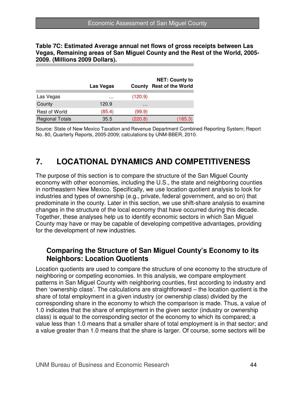**Table 7C: Estimated Average annual net flows of gross receipts between Las Vegas, Remaining areas of San Miguel County and the Rest of the World, 2005- 2009. (Millions 2009 Dollars).** 

|                        | Las Vegas | County   | <b>NET: County to</b><br><b>Rest of the World</b> |
|------------------------|-----------|----------|---------------------------------------------------|
| Las Vegas              | $\cdots$  | (120.9)  |                                                   |
| County                 | 120.9     | $\cdots$ |                                                   |
| Rest of World          | (85.4)    | (99.9)   |                                                   |
| <b>Regional Totals</b> | 35.5      | (220.8)  | (185.3)                                           |

Source: State of New Mexico Taxation and Revenue Department Combined Reporting System; Report No. 80, Quarterly Reports, 2005-2009; calculations by UNM-BBER, 2010.

## **7. LOCATIONAL DYNAMICS AND COMPETITIVENESS**

The purpose of this section is to compare the structure of the San Miguel County economy with other economies, including the U.S., the state and neighboring counties in northeastern New Mexico. Specifically, we use location quotient analysis to look for industries and types of ownership (e.g., private, federal government, and so on) that predominate in the county. Later in this section, we use shift-share analysis to examine changes in the structure of the local economy that have occurred during this decade. Together, these analyses help us to identify economic sectors in which San Miguel County may have or may be capable of developing competitive advantages, providing for the development of new industries.

### **Comparing the Structure of San Miguel County's Economy to its Neighbors: Location Quotients**

Location quotients are used to compare the structure of one economy to the structure of neighboring or competing economies. In this analysis, we compare employment patterns in San Miguel County with neighboring counties, first according to industry and then 'ownership class'. The calculations are straightforward – the location quotient is the share of total employment in a given industry (or ownership class) divided by the corresponding share in the economy to which the comparison is made. Thus, a value of 1.0 indicates that the share of employment in the given sector (industry or ownership class) is equal to the corresponding sector of the economy to which its compared; a value less than 1.0 means that a smaller share of total employment is in that sector; and a value greater than 1.0 means that the share is larger. Of course, some sectors will be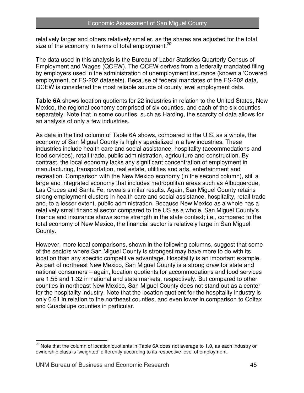relatively larger and others relatively smaller, as the shares are adjusted for the total size of the economy in terms of total employment.<sup>20</sup>

The data used in this analysis is the Bureau of Labor Statistics Quarterly Census of Employment and Wages (QCEW). The QCEW derives from a federally mandated filing by employers used in the administration of unemployment insurance (known a 'Covered employment, or ES-202 datasets). Because of federal mandates of the ES-202 data, QCEW is considered the most reliable source of county level employment data.

**Table 6A** shows location quotients for 22 industries in relation to the United States, New Mexico, the regional economy comprised of six counties, and each of the six counties separately. Note that in some counties, such as Harding, the scarcity of data allows for an analysis of only a few industries.

As data in the first column of Table 6A shows, compared to the U.S. as a whole, the economy of San Miguel County is highly specialized in a few industries. These industries include health care and social assistance, hospitality (accommodations and food services), retail trade, public administration, agriculture and construction. By contrast, the local economy lacks any significant concentration of employment in manufacturing, transportation, real estate, utilities and arts, entertainment and recreation. Comparison with the New Mexico economy (in the second column), still a large and integrated economy that includes metropolitan areas such as Albuquerque, Las Cruces and Santa Fe, reveals similar results. Again, San Miguel County retains strong employment clusters in health care and social assistance, hospitality, retail trade and, to a lesser extent, public administration. Because New Mexico as a whole has a relatively small financial sector compared to the US as a whole, San Miguel County's finance and insurance shows some strength in the state context; i.e., compared to the total economy of New Mexico, the financial sector is relatively large in San Miguel County.

However, more local comparisons, shown in the following columns, suggest that some of the sectors where San Miguel County is strongest may have more to do with its location than any specific competitive advantage. Hospitality is an important example. As part of northeast New Mexico, San Miguel County is a strong draw for state and national consumers – again, location quotients for accommodations and food services are 1.55 and 1.32 in national and state markets, respectively. But compared to other counties in northeast New Mexico, San Miguel County does not stand out as a center for the hospitality industry. Note that the location quotient for the hospitality industry is only 0.61 in relation to the northeast counties, and even lower in comparison to Colfax and Guadalupe counties in particular.

 $\overline{a}$ 

 $^{20}$  Note that the column of location quotients in Table 6A does not average to 1.0, as each industry or ownership class is 'weighted' differently according to its respective level of employment.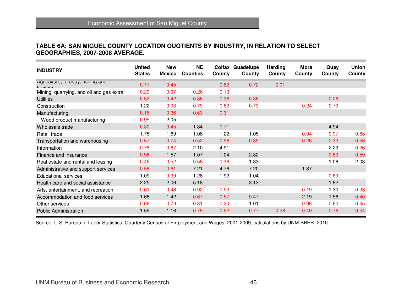#### **TABLE 6A: SAN MIGUEL COUNTY LOCATION QUOTIENTS BY INDUSTRY, IN RELATION TO SELECT GEOGRAPHIES, 2007-2008 AVERAGE.**

| <b>INDUSTRY</b>                                 | <b>United</b><br><b>States</b> | <b>New</b><br><b>Mexico</b> | <b>NE</b><br><b>Counties</b> | Colfax<br>County | Guadelupe<br>County | <b>Harding</b><br>County | <b>Mora</b><br>County | Quay<br>County | <b>Union</b><br>County |
|-------------------------------------------------|--------------------------------|-----------------------------|------------------------------|------------------|---------------------|--------------------------|-----------------------|----------------|------------------------|
| Agriculture, lorestry, its mily ariu<br>huntina | 0.71                           | 0.45                        |                              | 0.62             | 0.72                | 0.01                     |                       |                |                        |
| Mining, quarrying, and oil and gas extra        | 0.20                           | 0.07                        | 0.26                         | 0.13             |                     |                          |                       |                |                        |
| <b>Utilities</b>                                | 0.52                           | 0.42                        | 0.36                         | 0.36             | 0.36                |                          |                       | 0.26           |                        |
| Construction                                    | 1.22                           | 0.93                        | 0.79                         | 0.82             | 0.73                |                          | 0.24                  | 0.79           |                        |
| Manufacturing                                   | 0.16                           | 0.36                        | 0.63                         | 0.31             |                     |                          |                       |                |                        |
| Wood product manufacturing                      | 0.95                           | 2.05                        |                              |                  |                     |                          |                       |                |                        |
| Wholesale trade                                 | 0.30                           | 0.45                        | 1.34                         | 0.71             |                     |                          |                       | 4.94           |                        |
| Retail trade                                    | 1.75                           | 1.69                        | 1.08                         | 1.22             | 1.05                |                          | 0.94                  | 0.97           | 0.88                   |
| Transportation and warehousing                  | 0.57                           | 0.74                        | 0.52                         | 0.98             | 0.39                |                          | 0.26                  | 0.32           | 0.56                   |
| Information                                     | 0.78                           | 0.87                        | 2.10                         | 4.91             |                     |                          |                       | 2.29           | 0.26                   |
| Finance and insurance                           | 0.98                           | 1.57                        | 1.07                         | 1.04             | 2.82                |                          |                       | 0.89           | 0.59                   |
| Real estate and rental and leasing              | 0.46                           | 0.52                        | 0.58                         | 0.36             | 1.83                |                          |                       | 1.08           | 2.03                   |
| Administrative and support services             | 0.58                           | 0.61                        | 7.21                         | 4.76             | 7.20                |                          | 1.87                  |                |                        |
| <b>Educational services</b>                     | 1.09                           | 0.99                        | 1.28                         | 1.92             | 1.04                |                          |                       | 0.69           |                        |
| Health care and social assistance               | 2.25                           | 2.06                        | 5.18                         |                  | 3.13                |                          |                       | 1.82           |                        |
| Arts, entertainment, and recreation             | 0.61                           | 0.48                        | 0.92                         | 0.93             |                     |                          | 0.19                  | 1.30           | 0.38                   |
| Accommodation and food services                 | 1.68                           | 1.42                        | 0.67                         | 0.57             | 0.47                |                          | 2.19                  | 1.56           | 0.40                   |
| Other services                                  | 0.66                           | 0.79                        | 0.31                         | 0.20             | 1.01                |                          | 0.96                  | 0.60           | 0.45                   |
| <b>Public Administration</b>                    | 1.59                           | 1.16                        | 0.79                         | 0.92             | 0.77                | 0.28                     | 0.49                  | 0.76           | 0.54                   |

Source: U.S. Bureau of Labor Statistics, Quarterly Census of Employment and Wages, 2001-2009; calculations by UNM-BBER, 2010.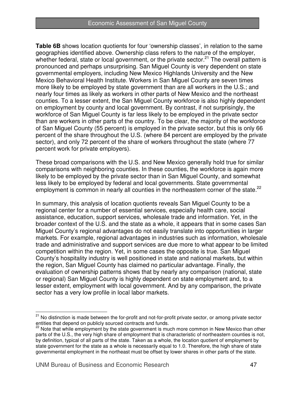**Table 6B** shows location quotients for four 'ownership classes', in relation to the same geographies identified above. Ownership class refers to the nature of the employer, whether federal, state or local government, or the private sector.<sup>21</sup> The overall pattern is pronounced and perhaps unsurprising. San Miguel County is very dependent on state governmental employers, including New Mexico Highlands University and the New Mexico Behavioral Health Institute. Workers in San Miguel County are seven times more likely to be employed by state government than are all workers in the U.S.; and nearly four times as likely as workers in other parts of New Mexico and the northeast counties. To a lesser extent, the San Miguel County workforce is also highly dependent on employment by county and local government. By contrast, if not surprisingly, the workforce of San Miguel County is far less likely to be employed in the private sector than are workers in other parts of the country. To be clear, the majority of the workforce of San Miguel County (55 percent) is employed in the private sector, but this is only 66 percent of the share throughout the U.S. (where 84 percent are employed by the private sector), and only 72 percent of the share of workers throughout the state (where 77 percent work for private employers).

These broad comparisons with the U.S. and New Mexico generally hold true for similar comparisons with neighboring counties. In these counties, the workforce is again more likely to be employed by the private sector than in San Miguel County, and somewhat less likely to be employed by federal and local governments. State governmental employment is common in nearly all counties in the northeastern corner of the state. $^{22}$ 

In summary, this analysis of location quotients reveals San Miguel County to be a regional center for a number of essential services, especially health care, social assistance, education, support services, wholesale trade and information. Yet, in the broader context of the U.S. and the state as a whole, it appears that in some cases San Miguel County's regional advantages do not easily translate into opportunities in larger markets. For example, regional advantages in industries such as information, wholesale trade and administrative and support services are due more to what appear to be limited competition within the region. Yet, in some cases the opposite is true. San Miguel County's hospitality industry is well positioned in state and national markets, but within the region, San Miguel County has claimed no particular advantage. Finally, the evaluation of ownership patterns shows that by nearly any comparison (national, state or regional) San Miguel County is highly dependent on state employment and, to a lesser extent, employment with local government. And by any comparison, the private sector has a very low profile in local labor markets.

 $\overline{a}$ <sup>21</sup> No distinction is made between the for-profit and not-for-profit private sector, or among private sector entities that depend on publicly sourced contracts and funds.

 $22$  Note that while employment by the state government is much more common in New Mexico than other parts of the U.S., the very high share of employment that is characteristic of northeastern counties is not, by definition, typical of all parts of the state. Taken as a whole, the location quotient of employment by state government for the state as a whole is necessarily equal to 1.0. Therefore, the high share of state governmental employment in the northeast must be offset by lower shares in other parts of the state.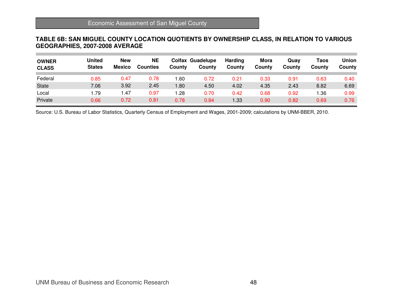#### **TABLE 6B: SAN MIGUEL COUNTY LOCATION QUOTIENTS BY OWNERSHIP CLASS, IN RELATION TO VARIOUS GEOGRAPHIES, 2007-2008 AVERAGE**

| <b>OWNER</b><br><b>CLASS</b> | <b>United</b><br><b>States</b> | <b>New</b><br><b>Mexico</b> | <b>NE</b><br><b>Counties</b> | Countv | <b>Colfax Guadelupe</b><br>County | <b>Harding</b><br>County | Mora<br>County | Quav<br>Countv | Taos<br>County | <b>Union</b><br>County |
|------------------------------|--------------------------------|-----------------------------|------------------------------|--------|-----------------------------------|--------------------------|----------------|----------------|----------------|------------------------|
| Federal                      | 0.85                           | 0.47                        | 0.78                         | .60    | 0.72                              | 0.21                     | 0.33           | 0.91           | 0.63           | 0.40                   |
| State                        | 7.06                           | 3.92                        | 2.45                         | 80. ا  | 4.50                              | 4.02                     | 4.35           | 2.43           | 8.82           | 6.69                   |
| Local                        | ∣.79                           | 1.47                        | 0.97                         | .28    | 0.70                              | 0.42                     | 0.68           | 0.92           | 1.36           | 0.99                   |
| Private                      | 0.66                           | 0.72                        | 0.81                         | 0.78   | 0.84                              | l.33                     | 0.90           | 0.82           | 0.69           | 0.76                   |

Source: U.S. Bureau of Labor Statistics, Quarterly Census of Employment and Wages, 2001-2009; calculations by UNM-BBER, 2010.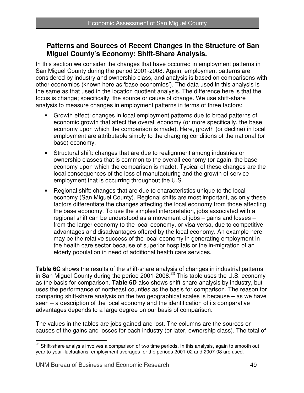## **Patterns and Sources of Recent Changes in the Structure of San Miguel County's Economy: Shift-Share Analysis.**

In this section we consider the changes that have occurred in employment patterns in San Miguel County during the period 2001-2008. Again, employment patterns are considered by industry and ownership class, and analysis is based on comparisons with other economies (known here as 'base economies'). The data used in this analysis is the same as that used in the location quotient analysis. The difference here is that the focus is change; specifically, the source or cause of change. We use shift-share analysis to measure changes in employment patterns in terms of three factors:

- Growth effect: changes in local employment patterns due to broad patterns of economic growth that affect the overall economy (or more specifically, the base economy upon which the comparison is made). Here, growth (or decline) in local employment are attributable simply to the changing conditions of the national (or base) economy.
- Structural shift: changes that are due to realignment among industries or ownership classes that is common to the overall economy (or again, the base economy upon which the comparison is made). Typical of these changes are the local consequences of the loss of manufacturing and the growth of service employment that is occurring throughout the U.S.
- Regional shift: changes that are due to characteristics unique to the local economy (San Miguel County). Regional shifts are most important, as only these factors differentiate the changes affecting the local economy from those affecting the base economy. To use the simplest interpretation, jobs associated with a regional shift can be understood as a movement of jobs – gains and losses – from the larger economy to the local economy, or visa versa, due to competitive advantages and disadvantages offered by the local economy. An example here may be the relative success of the local economy in generating employment in the health care sector because of superior hospitals or the in-migration of an elderly population in need of additional health care services.

**Table 6C** shows the results of the shift-share analysis of changes in industrial patterns in San Miguel County during the period 2001-2008.<sup>23</sup> This table uses the U.S. economy as the basis for comparison. **Table 6D** also shows shift-share analysis by industry, but uses the performance of northeast counties as the basis for comparison. The reason for comparing shift-share analysis on the two geographical scales is because – as we have seen – a description of the local economy and the identification of its comparative advantages depends to a large degree on our basis of comparison.

The values in the tables are jobs gained and lost. The columns are the sources or causes of the gains and losses for each industry (or later, ownership class). The total of

 $\overline{a}$  $^{23}$  Shift-share analysis involves a comparison of two time periods. In this analysis, again to smooth out year to year fluctuations, employment averages for the periods 2001-02 and 2007-08 are used.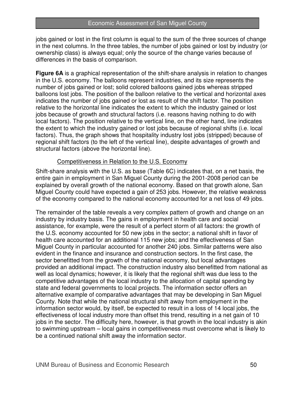jobs gained or lost in the first column is equal to the sum of the three sources of change in the next columns. In the three tables, the number of jobs gained or lost by industry (or ownership class) is always equal; only the source of the change varies because of differences in the basis of comparison.

**Figure 6A** is a graphical representation of the shift-share analysis in relation to changes in the U.S. economy. The balloons represent industries, and its size represents the number of jobs gained or lost; solid colored balloons gained jobs whereas stripped balloons lost jobs. The position of the balloon relative to the vertical and horizontal axes indicates the number of jobs gained or lost as result of the shift factor. The position relative to the horizontal line indicates the extent to which the industry gained or lost jobs because of growth and structural factors (i.e. reasons having nothing to do with local factors). The position relative to the vertical line, on the other hand, line indicates the extent to which the industry gained or lost jobs because of regional shifts (i.e. local factors). Thus, the graph shows that hospitality industry lost jobs (stripped) because of regional shift factors (to the left of the vertical line), despite advantages of growth and structural factors (above the horizontal line).

#### Competitiveness in Relation to the U.S. Economy

Shift-share analysis with the U.S. as base (Table 6C) indicates that, on a net basis, the entire gain in employment in San Miguel County during the 2001-2008 period can be explained by overall growth of the national economy. Based on that growth alone, San Miguel County could have expected a gain of 253 jobs. However, the relative weakness of the economy compared to the national economy accounted for a net loss of 49 jobs.

The remainder of the table reveals a very complex pattern of growth and change on an industry by industry basis. The gains in employment in health care and social assistance, for example, were the result of a perfect storm of all factors: the growth of the U.S. economy accounted for 50 new jobs in the sector; a national shift in favor of health care accounted for an additional 115 new jobs; and the effectiveness of San Miguel County in particular accounted for another 240 jobs. Similar patterns were also evident in the finance and insurance and construction sectors. In the first case, the sector benefitted from the growth of the national economy, but local advantages provided an additional impact. The construction industry also benefitted from national as well as local dynamics; however, it is likely that the regional shift was due less to the competitive advantages of the local industry to the allocation of capital spending by state and federal governments to local projects. The information sector offers an alternative example of comparative advantages that may be developing in San Miguel County. Note that while the national structural shift away from employment in the information sector would, by itself, be expected to result in a loss of 14 local jobs, the effectiveness of local industry more than offset this trend, resulting in a net gain of 10 jobs in the sector. The difficulty here, however, is that growth in the local industry is akin to swimming upstream – local gains in competitiveness must overcome what is likely to be a continued national shift away the information sector.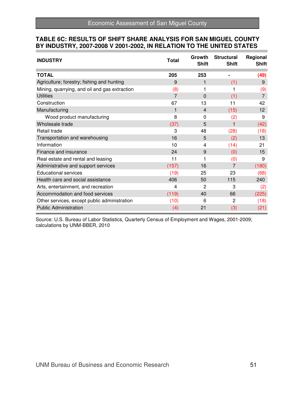#### **TABLE 6C: RESULTS OF SHIFT SHARE ANALYSIS FOR SAN MIGUEL COUNTY BY INDUSTRY, 2007-2008 V 2001-2002, IN RELATION TO THE UNITED STATES**

| <b>INDUSTRY</b>                               | <b>Total</b> | Growth<br><b>Shift</b> | <b>Structural</b><br><b>Shift</b> | Regional<br><b>Shift</b> |
|-----------------------------------------------|--------------|------------------------|-----------------------------------|--------------------------|
| <b>TOTAL</b>                                  | 205          | 253                    |                                   | (49)                     |
| Agriculture; forestry; fishing and hunting    | 9            | 1                      | (1)                               | 9                        |
| Mining, quarrying, and oil and gas extraction | (8)          | 1                      |                                   | (9)                      |
| <b>Utilities</b>                              | 7            | $\mathbf 0$            | (1)                               | $\overline{7}$           |
| Construction                                  | 67           | 13                     | 11                                | 42                       |
| Manufacturing                                 | 1            | $\overline{4}$         | (15)                              | 12                       |
| Wood product manufacturing                    | 8            | 0                      | (2)                               | 9                        |
| Wholesale trade                               | (37)         | 5                      |                                   | (42)                     |
| Retail trade                                  | 3            | 48                     | (28)                              | (18)                     |
| Transportation and warehousing                | 16           | 5                      | (2)                               | 13                       |
| Information                                   | 10           | 4                      | (14)                              | 21                       |
| Finance and insurance                         | 24           | 9                      | (0)                               | 15                       |
| Real estate and rental and leasing            | 11           | 1                      | (0)                               | 9                        |
| Administrative and support services           | (157)        | 16                     | 7                                 | (180)                    |
| <b>Educational services</b>                   | (19)         | 25                     | 23                                | (68)                     |
| Health care and social assistance             | 406          | 50                     | 115                               | 240                      |
| Arts, entertainment, and recreation           | 4            | $\overline{2}$         | 3                                 | (2)                      |
| Accommodation and food services               | (119)        | 40                     | 66                                | (225)                    |
| Other services, except public administration  | (10)         | 6                      | 2                                 | (18)                     |
| <b>Public Administration</b>                  | (4)          | 21                     | (3)                               | (21)                     |

Source: U.S. Bureau of Labor Statistics, Quarterly Census of Employment and Wages, 2001-2009; calculations by UNM-BBER, 2010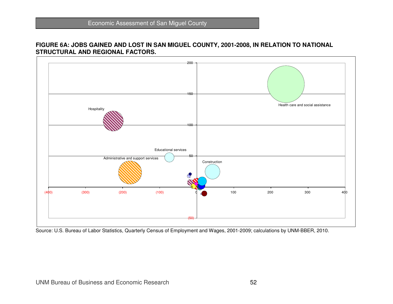# **FIGURE 6A: JOBS GAINED AND LOST IN SAN MIGUEL COUNTY, 2001-2008, IN RELATION TO NATIONAL STRUCTURAL AND REGIONAL FACTORS.**



Source: U.S. Bureau of Labor Statistics, Quarterly Census of Employment and Wages, 2001-2009; calculations by UNM-BBER, 2010.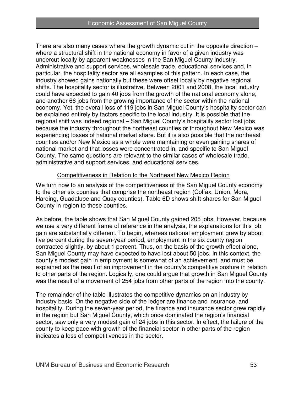There are also many cases where the growth dynamic cut in the opposite direction – where a structural shift in the national economy in favor of a given industry was undercut locally by apparent weaknesses in the San Miguel County industry. Administrative and support services, wholesale trade, educational services and, in particular, the hospitality sector are all examples of this pattern. In each case, the industry showed gains nationally but these were offset locally by negative regional shifts. The hospitality sector is illustrative. Between 2001 and 2008, the local industry could have expected to gain 40 jobs from the growth of the national economy alone, and another 66 jobs from the growing importance of the sector within the national economy. Yet, the overall loss of 119 jobs in San Miguel County's hospitality sector can be explained entirely by factors specific to the local industry. It is possible that the regional shift was indeed regional – San Miguel County's hospitality sector lost jobs because the industry throughout the northeast counties or throughout New Mexico was experiencing losses of national market share. But it is also possible that the northeast counties and/or New Mexico as a whole were maintaining or even gaining shares of national market and that losses were concentrated in, and specific to San Miguel County. The same questions are relevant to the similar cases of wholesale trade, administrative and support services, and educational services.

#### Competitiveness in Relation to the Northeast New Mexico Region

We turn now to an analysis of the competitiveness of the San Miguel County economy to the other six counties that comprise the northeast region (Colfax, Union, Mora, Harding, Guadalupe and Quay counties). Table 6D shows shift-shares for San Miguel County in region to these counties.

As before, the table shows that San Miguel County gained 205 jobs. However, because we use a very different frame of reference in the analysis, the explanations for this job gain are substantially different. To begin, whereas national employment grew by about five percent during the seven-year period, employment in the six county region contracted slightly, by about 1 percent. Thus, on the basis of the growth effect alone, San Miguel County may have expected to have lost about 50 jobs. In this context, the county's modest gain in employment is somewhat of an achievement, and must be explained as the result of an improvement in the county's competitive posture in relation to other parts of the region. Logically, one could argue that growth in San Miguel County was the result of a movement of 254 jobs from other parts of the region into the county.

The remainder of the table illustrates the competitive dynamics on an industry by industry basis. On the negative side of the ledger are finance and insurance, and hospitality. During the seven-year period, the finance and insurance sector grew rapidly in the region but San Miguel County, which once dominated the region's financial sector, saw only a very modest gain of 24 jobs in this sector. In effect, the failure of the county to keep pace with growth of the financial sector in other parts of the region indicates a loss of competitiveness in the sector.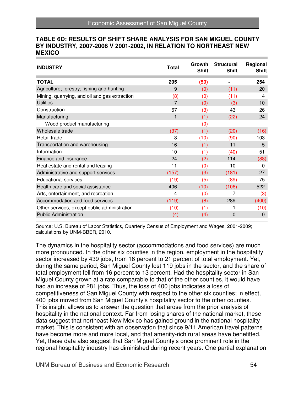#### **TABLE 6D: RESULTS OF SHIFT SHARE ANALYSIS FOR SAN MIGUEL COUNTY BY INDUSTRY, 2007-2008 V 2001-2002, IN RELATION TO NORTHEAST NEW MEXICO**

| <b>INDUSTRY</b>                               | <b>Total</b> | Growth<br><b>Shift</b> | <b>Structural</b><br><b>Shift</b> | Regional<br><b>Shift</b> |
|-----------------------------------------------|--------------|------------------------|-----------------------------------|--------------------------|
| <b>TOTAL</b>                                  | 205          | (50)                   | ۰                                 | 254                      |
| Agriculture; forestry; fishing and hunting    | 9            | (0)                    | (11)                              | 20                       |
| Mining, quarrying, and oil and gas extraction | (8)          | (0)                    | (11)                              | 4                        |
| <b>Utilities</b>                              | 7            | (0)                    | (3)                               | 10                       |
| Construction                                  | 67           | (3)                    | 43                                | 26                       |
| Manufacturing                                 | 1            | (1)                    | (22)                              | 24                       |
| Wood product manufacturing                    |              | (0)                    |                                   |                          |
| Wholesale trade                               | (37)         | (1)                    | (20)                              | (16)                     |
| Retail trade                                  | 3            | (10)                   | (90)                              | 103                      |
| Transportation and warehousing                | 16           | (1)                    | 11                                | 5                        |
| Information                                   | 10           | (1)                    | (40)                              | 51                       |
| Finance and insurance                         | 24           | (2)                    | 114                               | (88)                     |
| Real estate and rental and leasing            | 11           | (0)                    | 10                                | 0                        |
| Administrative and support services           | (157)        | (3)                    | (181)                             | 27                       |
| <b>Educational services</b>                   | (19)         | (5)                    | (89)                              | 75                       |
| Health care and social assistance             | 406          | (10)                   | (106)                             | 522                      |
| Arts, entertainment, and recreation           | 4            | (0)                    | 7                                 | (3)                      |
| Accommodation and food services               | (119)        | (8)                    | 289                               | (400)                    |
| Other services, except public administration  | (10)         | (1)                    |                                   | (10)                     |
| <b>Public Administration</b>                  | (4)          | (4)                    | $\mathbf 0$                       | 0                        |

Source: U.S. Bureau of Labor Statistics, Quarterly Census of Employment and Wages, 2001-2009; calculations by UNM-BBER, 2010.

The dynamics in the hospitality sector (accommodations and food services) are much more pronounced. In the other six counties in the region, employment in the hospitality sector increased by 439 jobs, from 16 percent to 21 percent of total employment. Yet, during the same period, San Miguel County lost 119 jobs in the sector, and the share of total employment fell from 16 percent to 13 percent. Had the hospitality sector in San Miguel County grown at a rate comparable to that of the other counties, it would have had an increase of 281 jobs. Thus, the loss of 400 jobs indicates a loss of competitiveness of San Miguel County with respect to the other six counties; in effect, 400 jobs moved from San Miguel County's hospitality sector to the other counties. This insight allows us to answer the question that arose from the prior analysis of hospitality in the national context. Far from losing shares of the national market, these data suggest that northeast New Mexico has gained ground in the national hospitality market. This is consistent with an observation that since 9/11 American travel patterns have become more and more local, and that amenity-rich rural areas have benefitted. Yet, these data also suggest that San Miguel County's once prominent role in the regional hospitality industry has diminished during recent years. One partial explanation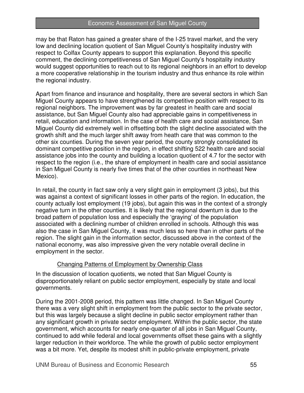#### Economic Assessment of San Miguel County

may be that Raton has gained a greater share of the I-25 travel market, and the very low and declining location quotient of San Miguel County's hospitality industry with respect to Colfax County appears to support this explanation. Beyond this specific comment, the declining competitiveness of San Miguel County's hospitality industry would suggest opportunities to reach out to its regional neighbors in an effort to develop a more cooperative relationship in the tourism industry and thus enhance its role within the regional industry.

Apart from finance and insurance and hospitality, there are several sectors in which San Miguel County appears to have strengthened its competitive position with respect to its regional neighbors. The improvement was by far greatest in health care and social assistance, but San Miguel County also had appreciable gains in competitiveness in retail, education and information. In the case of health care and social assistance, San Miguel County did extremely well in offsetting both the slight decline associated with the growth shift and the much larger shift away from heath care that was common to the other six counties. During the seven year period, the county strongly consolidated its dominant competitive position in the region, in effect shifting 522 health care and social assistance jobs into the county and building a location quotient of 4.7 for the sector with respect to the region (i.e., the share of employment in health care and social assistance in San Miguel County is nearly five times that of the other counties in northeast New Mexico).

In retail, the county in fact saw only a very slight gain in employment (3 jobs), but this was against a context of significant losses in other parts of the region. In education, the county actually lost employment (19 jobs), but again this was in the context of a strongly negative turn in the other counties. It is likely that the regional downturn is due to the broad pattern of population loss and especially the 'graying' of the population associated with a declining number of children enrolled in schools. Although this was also the case in San Miguel County, it was much less so here than in other parts of the region. The slight gain in the information sector, discussed above in the context of the national economy, was also impressive given the very notable overall decline in employment in the sector.

#### Changing Patterns of Employment by Ownership Class

In the discussion of location quotients, we noted that San Miguel County is disproportionately reliant on public sector employment, especially by state and local governments.

During the 2001-2008 period, this pattern was little changed. In San Miguel County there was a very slight shift in employment from the public sector to the private sector, but this was largely because a slight decline in public sector employment rather than any significant growth in private sector employment. Within the public sector, the state government, which accounts for nearly one-quarter of all jobs in San Miguel County, continued to add while federal and local governments offset these gains with a slightly larger reduction in their workforce. The while the growth of public sector employment was a bit more. Yet, despite its modest shift in public-private employment, private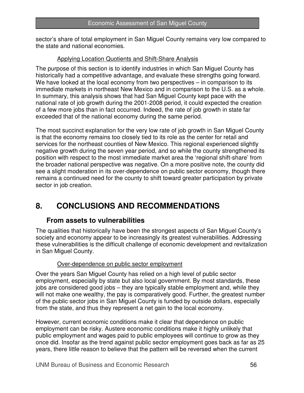sector's share of total employment in San Miguel County remains very low compared to the state and national economies.

#### Applying Location Quotients and Shift-Share Analysis

The purpose of this section is to identify industries in which San Miguel County has historically had a competitive advantage, and evaluate these strengths going forward. We have looked at the local economy from two perspectives – in comparison to its immediate markets in northeast New Mexico and in comparison to the U.S. as a whole. In summary, this analysis shows that had San Miguel County kept pace with the national rate of job growth during the 2001-2008 period, it could expected the creation of a few more jobs than in fact occurred. Indeed, the rate of job growth in state far exceeded that of the national economy during the same period.

The most succinct explanation for the very low rate of job growth in San Miguel County is that the economy remains too closely tied to its role as the center for retail and services for the northeast counties of New Mexico. This regional experienced slightly negative growth during the seven year period, and so while the county strengthened its position with respect to the most immediate market area the 'regional shift-share' from the broader national perspective was negative. On a more positive note, the county did see a slight moderation in its over-dependence on public sector economy, though there remains a continued need for the county to shift toward greater participation by private sector in job creation.

## **8. CONCLUSIONS AND RECOMMENDATIONS**

#### **From assets to vulnerabilities**

The qualities that historically have been the strongest aspects of San Miguel County's society and economy appear to be increasingly its greatest vulnerabilities. Addressing these vulnerabilities is the difficult challenge of economic development and revitalization in San Miguel County.

#### Over-dependence on public sector employment

Over the years San Miguel County has relied on a high level of public sector employment, especially by state but also local government. By most standards, these jobs are considered good jobs – they are typically stable employment and, while they will not make one wealthy, the pay is comparatively good. Further, the greatest number of the public sector jobs in San Miguel County is funded by outside dollars, especially from the state, and thus they represent a net gain to the local economy.

However, current economic conditions make it clear that dependence on public employment can be risky. Austere economic conditions make it highly unlikely that public employment and wages paid to public employees will continue to grow as they once did. Insofar as the trend against public sector employment goes back as far as 25 years, there little reason to believe that the pattern will be reversed when the current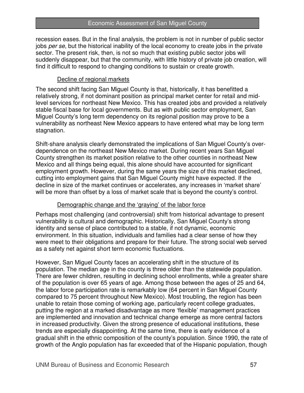recession eases. But in the final analysis, the problem is not in number of public sector jobs per se, but the historical inability of the local economy to create jobs in the private sector. The present risk, then, is not so much that existing public sector jobs will suddenly disappear, but that the community, with little history of private job creation, will find it difficult to respond to changing conditions to sustain or create growth.

#### Decline of regional markets

The second shift facing San Miguel County is that, historically, it has benefitted a relatively strong, if not dominant position as principal market center for retail and midlevel services for northeast New Mexico. This has created jobs and provided a relatively stable fiscal base for local governments. But as with public sector employment, San Miguel County's long term dependency on its regional position may prove to be a vulnerability as northeast New Mexico appears to have entered what may be long term stagnation.

Shift-share analysis clearly demonstrated the implications of San Miguel County's overdependence on the northeast New Mexico market. During recent years San Miguel County strengthen its market position relative to the other counties in northeast New Mexico and all things being equal, this alone should have accounted for significant employment growth. However, during the same years the size of this market declined, cutting into employment gains that San Miguel County might have expected. If the decline in size of the market continues or accelerates, any increases in 'market share' will be more than offset by a loss of market scale that is beyond the county's control.

#### Demographic change and the 'graying' of the labor force

Perhaps most challenging (and controversial) shift from historical advantage to present vulnerability is cultural and demographic. Historically, San Miguel County's strong identity and sense of place contributed to a stable, if not dynamic, economic environment. In this situation, individuals and families had a clear sense of how they were meet to their obligations and prepare for their future. The strong social web served as a safety net against short term economic fluctuations.

However, San Miguel County faces an accelerating shift in the structure of its population. The median age in the county is three older than the statewide population. There are fewer children, resulting in declining school enrollments, while a greater share of the population is over 65 years of age. Among those between the ages of 25 and 64, the labor force participation rate is remarkably low (64 percent in San Miguel County compared to 75 percent throughout New Mexico). Most troubling, the region has been unable to retain those coming of working age, particularly recent college graduates, putting the region at a marked disadvantage as more 'flexible' management practices are implemented and innovation and technical change emerge as more central factors in increased productivity. Given the strong presence of educational institutions, these trends are especially disappointing. At the same time, there is early evidence of a gradual shift in the ethnic composition of the county's population. Since 1990, the rate of growth of the Anglo population has far exceeded that of the Hispanic population, though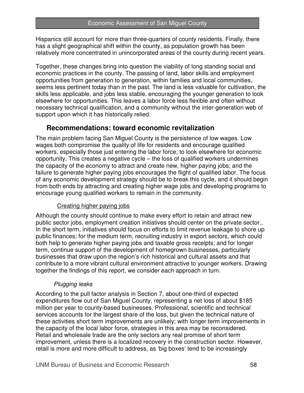Hispanics still account for more than three-quarters of county residents. Finally, there has a slight geographical shift within the county, as population growth has been relatively more concentrated in unincorporated areas of the county during recent years.

Together, these changes bring into question the viability of long standing social and economic practices in the county. The passing of land, labor skills and employment opportunities from generation to generation, within families and local communities, seems less pertinent today than in the past. The land is less valuable for cultivation, the skills less applicable, and jobs less stable, encouraging the younger generation to look elsewhere for opportunities. This leaves a labor force less flexible and often without necessary technical qualification, and a community without the inter-generation web of support upon which it has historically relied.

### **Recommendations: toward economic revitalization**

The main problem facing San Miguel County is the persistence of low wages. Low wages both compromise the quality of life for residents and encourage qualified workers, especially those just entering the labor force, to look elsewhere for economic opportunity. This creates a negative cycle – the loss of qualified workers undermines the capacity of the economy to attract and create new, higher paying jobs; and the failure to generate higher paying jobs encourages the flight of qualified labor. The focus of any economic development strategy should be to break this cycle, and it should begin from both ends by attracting and creating higher wage jobs and developing programs to encourage young qualified workers to remain in the community.

#### Creating higher paying jobs

Although the county should continue to make every effort to retain and attract new public sector jobs, employment creation initiatives should center on the private sector., In the short term, initiatives should focus on efforts to limit revenue leakage to shore up public finances; for the medium term, recruiting industry in export sectors, which could both help to generate higher paying jobs and taxable gross receipts; and for longer term, continue support of the development of homegrown businesses, particularly businesses that draw upon the region's rich historical and cultural assets and that contribute to a more vibrant cultural environment attractive to younger workers. Drawing together the findings of this report, we consider each approach in turn.

#### Plugging leaks

According to the pull factor analysis in Section 7, about one-third of expected expenditures flow out of San Miguel County, representing a net loss of about \$185 million per year to county-based businesses. Professional, scientific and technical services accounts for the largest share of the loss, but given the technical nature of these activities short term improvements are unlikely; with longer term improvements in the capacity of the local labor force, strategies in this area may be reconsidered. Retail and wholesale trade are the only sectors any real promise of short term improvement, unless there is a localized recovery in the construction sector. However, retail is more and more difficult to address, as 'big boxes' tend to be increasingly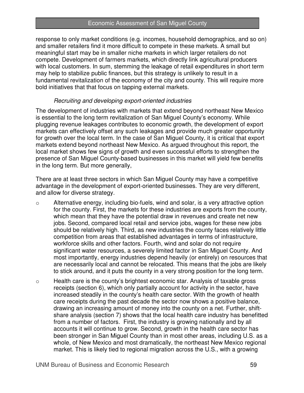response to only market conditions (e.g. incomes, household demographics, and so on) and smaller retailers find it more difficult to compete in these markets. A small but meaningful start may be in smaller niche markets in which larger retailers do not compete. Development of farmers markets, which directly link agricultural producers with local customers. In sum, stemming the leakage of retail expenditures in short term may help to stabilize public finances, but this strategy is unlikely to result in a fundamental revitalization of the economy of the city and county. This will require more bold initiatives that that focus on tapping external markets.

#### Recruiting and developing export-oriented industries

The development of industries with markets that extend beyond northeast New Mexico is essential to the long term revitalization of San Miguel County's economy. While plugging revenue leakages contributes to economic growth, the development of export markets can effectively offset any such leakages and provide much greater opportunity for growth over the local term. In the case of San Miguel County, it is critical that export markets extend beyond northeast New Mexico. As argued throughout this report, the local market shows few signs of growth and even successful efforts to strengthen the presence of San Miguel County-based businesses in this market will yield few benefits in the long term. But more generally,

There are at least three sectors in which San Miguel County may have a competitive advantage in the development of export-oriented businesses. They are very different, and allow for diverse strategy.

- o Alternative energy, including bio-fuels, wind and solar, is a very attractive option for the county. First, the markets for these industries are exports from the county, which mean that they have the potential draw in revenues and create net new jobs. Second, compared local retail and service jobs, wages for these new jobs should be relatively high. Third, as new industries the county faces relatively little competition from areas that established advantages in terms of infrastructure, workforce skills and other factors. Fourth, wind and solar do not require significant water resources, a severely limited factor in San Miguel County. And most importantly, energy industries depend heavily (or entirely) on resources that are necessarily local and cannot be relocated. This means that the jobs are likely to stick around, and it puts the county in a very strong position for the long term.
- o Health care is the county's brightest economic star. Analysis of taxable gross receipts (section 6), which only partially account for activity in the sector, have increased steadily in the county's health care sector. With the growth of health care receipts during the past decade the sector now shows a positive balance, drawing an increasing amount of money into the county on a net. Further, shiftshare analysis (section 7) shows that the local health care industry has benefitted from a number of factors. First, the industry is growing nationally and by all accounts it will continue to grow. Second, growth in the health care sector has been stronger in San Miguel County than in most other areas, including U.S. as a whole, of New Mexico and most dramatically, the northeast New Mexico regional market. This is likely tied to regional migration across the U.S., with a growing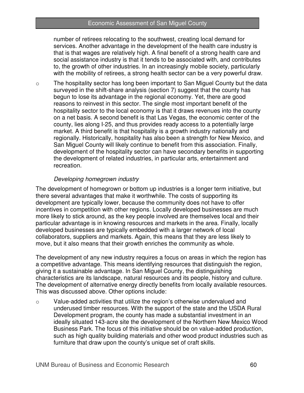#### Economic Assessment of San Miguel County

number of retirees relocating to the southwest, creating local demand for services. Another advantage in the development of the health care industry is that is that wages are relatively high. A final benefit of a strong health care and social assistance industry is that it tends to be associated with, and contributes to, the growth of other industries. In an increasingly mobile society, particularly with the mobility of retirees, a strong health sector can be a very powerful draw.

 $\circ$  The hospitality sector has long been important to San Miguel County but the data surveyed in the shift-share analysis (section 7) suggest that the county has begun to lose its advantage in the regional economy. Yet, there are good reasons to reinvest in this sector. The single most important benefit of the hospitality sector to the local economy is that it draws revenues into the county on a net basis. A second benefit is that Las Vegas, the economic center of the county, lies along I-25, and thus provides ready access to a potentially large market. A third benefit is that hospitality is a growth industry nationally and regionally. Historically, hospitality has also been a strength for New Mexico, and San Miguel County will likely continue to benefit from this association. Finally, development of the hospitality sector can have secondary benefits in supporting the development of related industries, in particular arts, entertainment and recreation.

#### Developing homegrown industry

The development of homegrown or bottom up industries is a longer term initiative, but there several advantages that make it worthwhile. The costs of supporting its development are typically lower, because the community does not have to offer incentives in competition with other regions. Locally developed businesses are much more likely to stick around, as the key people involved are themselves local and their particular advantage is in knowing resources and markets in the area. Finally, locally developed businesses are typically embedded with a larger network of local collaborators, suppliers and markets. Again, this means that they are less likely to move, but it also means that their growth enriches the community as whole.

The development of any new industry requires a focus on areas in which the region has a competitive advantage. This means identifying resources that distinguish the region, giving it a sustainable advantage. In San Miguel County, the distinguishing characteristics are its landscape, natural resources and its people, history and culture. The development of alternative energy directly benefits from locally available resources. This was discussed above. Other options include:

o Value-added activities that utilize the region's otherwise undervalued and underused timber resources. With the support of the state and the USDA Rural Development program, the county has made a substantial investment in an ideally situated 143-acre site the development of the Northern New Mexico Wood Business Park. The focus of this initiative should be on value-added production, such as high quality building materials and other wood product industries such as furniture that draw upon the county's unique set of craft skills.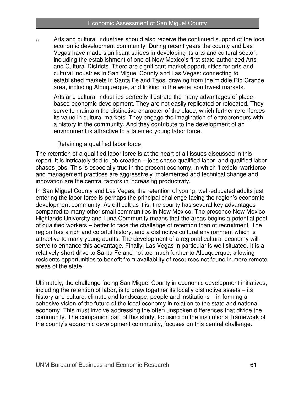$\circ$  Arts and cultural industries should also receive the continued support of the local economic development community. During recent years the county and Las Vegas have made significant strides in developing its arts and cultural sector, including the establishment of one of New Mexico's first state-authorized Arts and Cultural Districts. There are significant market opportunities for arts and cultural industries in San Miguel County and Las Vegas: connecting to established markets in Santa Fe and Taos, drawing from the middle Rio Grande area, including Albuquerque, and linking to the wider southwest markets.

Arts and cultural industries perfectly illustrate the many advantages of placebased economic development. They are not easily replicated or relocated. They serve to maintain the distinctive character of the place, which further re-enforces its value in cultural markets. They engage the imagination of entrepreneurs with a history in the community. And they contribute to the development of an environment is attractive to a talented young labor force.

#### Retaining a qualified labor force

The retention of a qualified labor force is at the heart of all issues discussed in this report. It is intricately tied to job creation – jobs chase qualified labor, and qualified labor chases jobs. This is especially true in the present economy, in which 'flexible' workforce and management practices are aggressively implemented and technical change and innovation are the central factors in increasing productivity.

In San Miguel County and Las Vegas, the retention of young, well-educated adults just entering the labor force is perhaps the principal challenge facing the region's economic development community. As difficult as it is, the county has several key advantages compared to many other small communities in New Mexico. The presence New Mexico Highlands University and Luna Community means that the areas begins a potential pool of qualified workers – better to face the challenge of retention than of recruitment. The region has a rich and colorful history, and a distinctive cultural environment which is attractive to many young adults. The development of a regional cultural economy will serve to enhance this advantage. Finally, Las Vegas in particular is well situated. It is a relatively short drive to Santa Fe and not too much further to Albuquerque, allowing residents opportunities to benefit from availability of resources not found in more remote areas of the state.

Ultimately, the challenge facing San Miguel County in economic development initiatives, including the retention of labor, is to draw together its locally distinctive assets – its history and culture, climate and landscape, people and institutions – in forming a cohesive vision of the future of the local economy in relation to the state and national economy. This must involve addressing the often unspoken differences that divide the community. The companion part of this study, focusing on the institutional framework of the county's economic development community, focuses on this central challenge.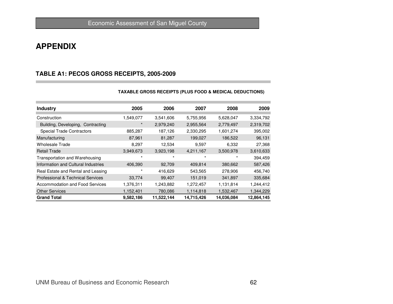## **APPENDIX**

#### **TABLE A1: PECOS GROSS RECEIPTS, 2005-2009**

| <b>Industry</b>                              | 2005      | 2006       | 2007       | 2008       | 2009       |
|----------------------------------------------|-----------|------------|------------|------------|------------|
| Construction                                 | 1,549,077 | 3,541,606  | 5,755,956  | 5,628,047  | 3,334,792  |
| Building, Developing, Contracting            | $\star$   | 2,979,240  | 2,955,564  | 2,779,497  | 2,319,702  |
| <b>Special Trade Contractors</b>             | 885,287   | 187,126    | 2,330,295  | 1,601,274  | 395,002    |
| Manufacturing                                | 87,961    | 81,287     | 199,027    | 186,522    | 96,131     |
| <b>Wholesale Trade</b>                       | 8,297     | 12,534     | 9,597      | 6,332      | 27,368     |
| <b>Retail Trade</b>                          | 3,949,673 | 3,923,198  | 4,211,167  | 3,500,978  | 3,610,633  |
| Transportation and Warehousing               | $\star$   | $\star$    | $\star$    | $\ast$     | 394,459    |
| Information and Cultural Industries          | 406,390   | 92,709     | 409,814    | 380,662    | 587,426    |
| Real Estate and Rental and Leasing           | $\star$   | 416,629    | 543,565    | 278,906    | 456,740    |
| <b>Professional &amp; Technical Services</b> | 33,774    | 99,407     | 151,019    | 341,897    | 335,684    |
| Accommodation and Food Services              | 1,376,311 | 1,243,882  | 1,272,457  | 1,131,814  | 1,244,412  |
| <b>Other Services</b>                        | 1,152,401 | 780,086    | 1,114,818  | 1,532,467  | 1,344,229  |
| <b>Grand Total</b>                           | 9,582,186 | 11,522,144 | 14,715,426 | 14,036,084 | 12,864,145 |

#### **TAXABLE GROSS RECEIPTS (PLUS FOOD & MEDICAL DEDUCTIONS)**